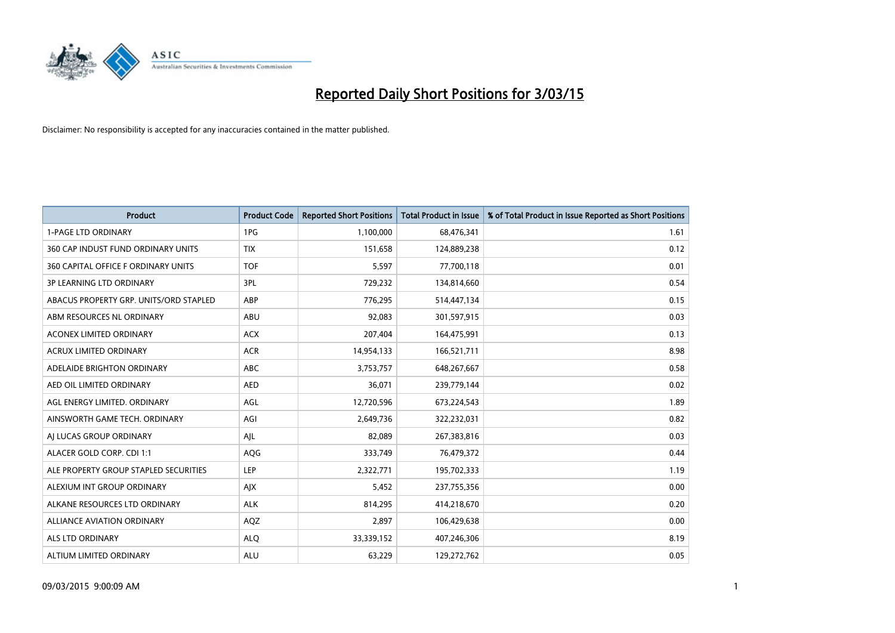

| <b>Product</b>                         | <b>Product Code</b> | <b>Reported Short Positions</b> | <b>Total Product in Issue</b> | % of Total Product in Issue Reported as Short Positions |
|----------------------------------------|---------------------|---------------------------------|-------------------------------|---------------------------------------------------------|
| <b>1-PAGE LTD ORDINARY</b>             | 1PG                 | 1,100,000                       | 68,476,341                    | 1.61                                                    |
| 360 CAP INDUST FUND ORDINARY UNITS     | <b>TIX</b>          | 151,658                         | 124,889,238                   | 0.12                                                    |
| 360 CAPITAL OFFICE F ORDINARY UNITS    | <b>TOF</b>          | 5,597                           | 77,700,118                    | 0.01                                                    |
| <b>3P LEARNING LTD ORDINARY</b>        | 3PL                 | 729,232                         | 134,814,660                   | 0.54                                                    |
| ABACUS PROPERTY GRP. UNITS/ORD STAPLED | ABP                 | 776,295                         | 514,447,134                   | 0.15                                                    |
| ABM RESOURCES NL ORDINARY              | ABU                 | 92,083                          | 301,597,915                   | 0.03                                                    |
| ACONEX LIMITED ORDINARY                | <b>ACX</b>          | 207,404                         | 164,475,991                   | 0.13                                                    |
| ACRUX LIMITED ORDINARY                 | <b>ACR</b>          | 14,954,133                      | 166,521,711                   | 8.98                                                    |
| ADELAIDE BRIGHTON ORDINARY             | <b>ABC</b>          | 3,753,757                       | 648,267,667                   | 0.58                                                    |
| AED OIL LIMITED ORDINARY               | <b>AED</b>          | 36,071                          | 239,779,144                   | 0.02                                                    |
| AGL ENERGY LIMITED. ORDINARY           | AGL                 | 12,720,596                      | 673,224,543                   | 1.89                                                    |
| AINSWORTH GAME TECH. ORDINARY          | AGI                 | 2,649,736                       | 322,232,031                   | 0.82                                                    |
| AI LUCAS GROUP ORDINARY                | AJL                 | 82,089                          | 267,383,816                   | 0.03                                                    |
| ALACER GOLD CORP. CDI 1:1              | AQG                 | 333,749                         | 76,479,372                    | 0.44                                                    |
| ALE PROPERTY GROUP STAPLED SECURITIES  | <b>LEP</b>          | 2,322,771                       | 195,702,333                   | 1.19                                                    |
| ALEXIUM INT GROUP ORDINARY             | AJX                 | 5,452                           | 237,755,356                   | 0.00                                                    |
| ALKANE RESOURCES LTD ORDINARY          | <b>ALK</b>          | 814,295                         | 414,218,670                   | 0.20                                                    |
| ALLIANCE AVIATION ORDINARY             | AQZ                 | 2,897                           | 106,429,638                   | 0.00                                                    |
| ALS LTD ORDINARY                       | <b>ALQ</b>          | 33,339,152                      | 407,246,306                   | 8.19                                                    |
| ALTIUM LIMITED ORDINARY                | <b>ALU</b>          | 63,229                          | 129,272,762                   | 0.05                                                    |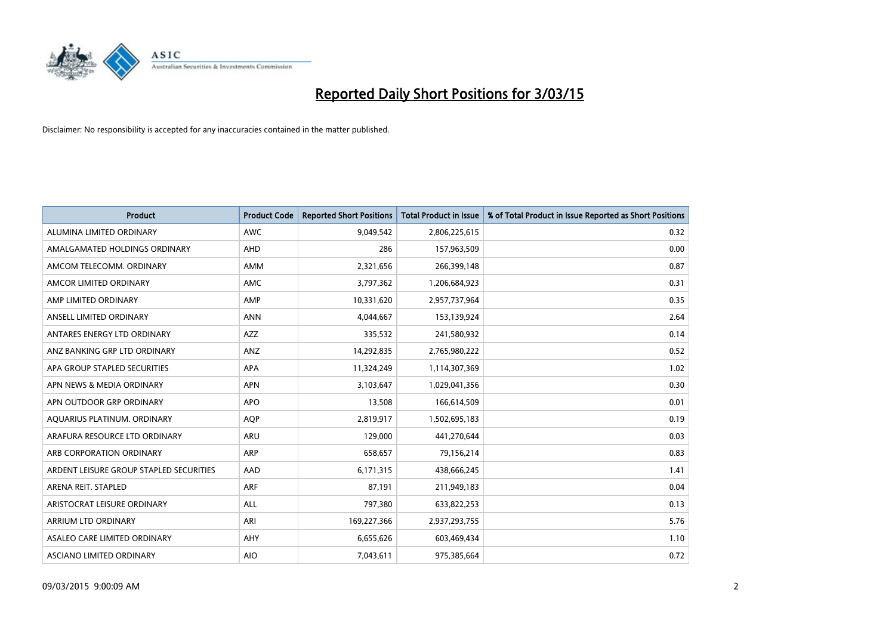

| <b>Product</b>                          | <b>Product Code</b> | <b>Reported Short Positions</b> | <b>Total Product in Issue</b> | % of Total Product in Issue Reported as Short Positions |
|-----------------------------------------|---------------------|---------------------------------|-------------------------------|---------------------------------------------------------|
| ALUMINA LIMITED ORDINARY                | <b>AWC</b>          | 9,049,542                       | 2,806,225,615                 | 0.32                                                    |
| AMALGAMATED HOLDINGS ORDINARY           | AHD                 | 286                             | 157,963,509                   | 0.00                                                    |
| AMCOM TELECOMM, ORDINARY                | AMM                 | 2,321,656                       | 266,399,148                   | 0.87                                                    |
| AMCOR LIMITED ORDINARY                  | AMC                 | 3,797,362                       | 1,206,684,923                 | 0.31                                                    |
| AMP LIMITED ORDINARY                    | AMP                 | 10,331,620                      | 2,957,737,964                 | 0.35                                                    |
| ANSELL LIMITED ORDINARY                 | <b>ANN</b>          | 4,044,667                       | 153,139,924                   | 2.64                                                    |
| ANTARES ENERGY LTD ORDINARY             | <b>AZZ</b>          | 335,532                         | 241,580,932                   | 0.14                                                    |
| ANZ BANKING GRP LTD ORDINARY            | ANZ                 | 14,292,835                      | 2,765,980,222                 | 0.52                                                    |
| APA GROUP STAPLED SECURITIES            | APA                 | 11,324,249                      | 1,114,307,369                 | 1.02                                                    |
| APN NEWS & MEDIA ORDINARY               | <b>APN</b>          | 3,103,647                       | 1,029,041,356                 | 0.30                                                    |
| APN OUTDOOR GRP ORDINARY                | <b>APO</b>          | 13,508                          | 166,614,509                   | 0.01                                                    |
| AQUARIUS PLATINUM. ORDINARY             | <b>AOP</b>          | 2,819,917                       | 1,502,695,183                 | 0.19                                                    |
| ARAFURA RESOURCE LTD ORDINARY           | ARU                 | 129,000                         | 441,270,644                   | 0.03                                                    |
| ARB CORPORATION ORDINARY                | ARP                 | 658,657                         | 79,156,214                    | 0.83                                                    |
| ARDENT LEISURE GROUP STAPLED SECURITIES | AAD                 | 6,171,315                       | 438,666,245                   | 1.41                                                    |
| ARENA REIT. STAPLED                     | ARF                 | 87,191                          | 211,949,183                   | 0.04                                                    |
| ARISTOCRAT LEISURE ORDINARY             | ALL                 | 797,380                         | 633,822,253                   | 0.13                                                    |
| ARRIUM LTD ORDINARY                     | ARI                 | 169,227,366                     | 2,937,293,755                 | 5.76                                                    |
| ASALEO CARE LIMITED ORDINARY            | AHY                 | 6,655,626                       | 603,469,434                   | 1.10                                                    |
| ASCIANO LIMITED ORDINARY                | <b>AIO</b>          | 7,043,611                       | 975,385,664                   | 0.72                                                    |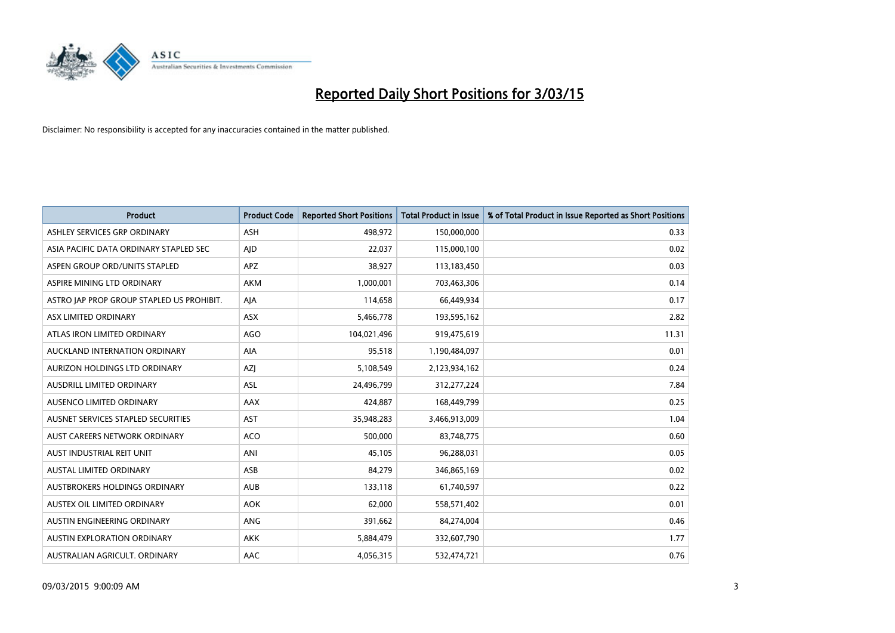

| <b>Product</b>                            | <b>Product Code</b> | <b>Reported Short Positions</b> | <b>Total Product in Issue</b> | % of Total Product in Issue Reported as Short Positions |
|-------------------------------------------|---------------------|---------------------------------|-------------------------------|---------------------------------------------------------|
| ASHLEY SERVICES GRP ORDINARY              | <b>ASH</b>          | 498,972                         | 150,000,000                   | 0.33                                                    |
| ASIA PACIFIC DATA ORDINARY STAPLED SEC    | AJD                 | 22,037                          | 115,000,100                   | 0.02                                                    |
| ASPEN GROUP ORD/UNITS STAPLED             | <b>APZ</b>          | 38,927                          | 113,183,450                   | 0.03                                                    |
| ASPIRE MINING LTD ORDINARY                | <b>AKM</b>          | 1.000.001                       | 703,463,306                   | 0.14                                                    |
| ASTRO JAP PROP GROUP STAPLED US PROHIBIT. | AJA                 | 114,658                         | 66,449,934                    | 0.17                                                    |
| ASX LIMITED ORDINARY                      | ASX                 | 5,466,778                       | 193,595,162                   | 2.82                                                    |
| ATLAS IRON LIMITED ORDINARY               | <b>AGO</b>          | 104,021,496                     | 919,475,619                   | 11.31                                                   |
| AUCKLAND INTERNATION ORDINARY             | <b>AIA</b>          | 95,518                          | 1,190,484,097                 | 0.01                                                    |
| AURIZON HOLDINGS LTD ORDINARY             | <b>AZI</b>          | 5,108,549                       | 2,123,934,162                 | 0.24                                                    |
| AUSDRILL LIMITED ORDINARY                 | ASL                 | 24,496,799                      | 312,277,224                   | 7.84                                                    |
| AUSENCO LIMITED ORDINARY                  | AAX                 | 424,887                         | 168,449,799                   | 0.25                                                    |
| AUSNET SERVICES STAPLED SECURITIES        | <b>AST</b>          | 35,948,283                      | 3,466,913,009                 | 1.04                                                    |
| AUST CAREERS NETWORK ORDINARY             | <b>ACO</b>          | 500,000                         | 83,748,775                    | 0.60                                                    |
| AUST INDUSTRIAL REIT UNIT                 | ANI                 | 45,105                          | 96,288,031                    | 0.05                                                    |
| AUSTAL LIMITED ORDINARY                   | ASB                 | 84,279                          | 346,865,169                   | 0.02                                                    |
| AUSTBROKERS HOLDINGS ORDINARY             | <b>AUB</b>          | 133,118                         | 61,740,597                    | 0.22                                                    |
| AUSTEX OIL LIMITED ORDINARY               | <b>AOK</b>          | 62,000                          | 558,571,402                   | 0.01                                                    |
| AUSTIN ENGINEERING ORDINARY               | ANG                 | 391,662                         | 84,274,004                    | 0.46                                                    |
| <b>AUSTIN EXPLORATION ORDINARY</b>        | <b>AKK</b>          | 5,884,479                       | 332,607,790                   | 1.77                                                    |
| AUSTRALIAN AGRICULT. ORDINARY             | AAC                 | 4,056,315                       | 532,474,721                   | 0.76                                                    |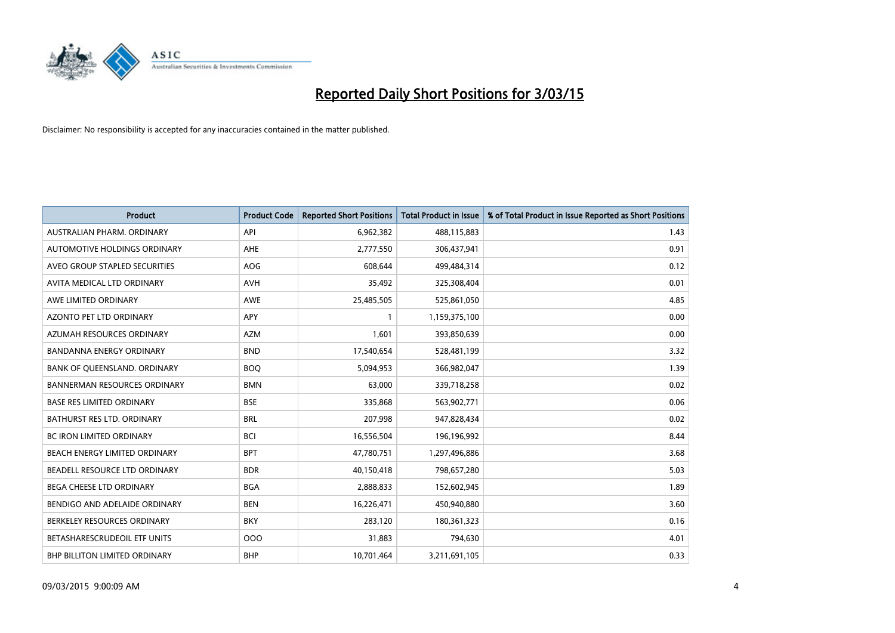

| <b>Product</b>                      | <b>Product Code</b> | <b>Reported Short Positions</b> | <b>Total Product in Issue</b> | % of Total Product in Issue Reported as Short Positions |
|-------------------------------------|---------------------|---------------------------------|-------------------------------|---------------------------------------------------------|
| AUSTRALIAN PHARM, ORDINARY          | API                 | 6,962,382                       | 488,115,883                   | 1.43                                                    |
| AUTOMOTIVE HOLDINGS ORDINARY        | AHE                 | 2,777,550                       | 306,437,941                   | 0.91                                                    |
| AVEO GROUP STAPLED SECURITIES       | <b>AOG</b>          | 608,644                         | 499,484,314                   | 0.12                                                    |
| AVITA MEDICAL LTD ORDINARY          | AVH                 | 35,492                          | 325,308,404                   | 0.01                                                    |
| AWE LIMITED ORDINARY                | <b>AWE</b>          | 25,485,505                      | 525,861,050                   | 4.85                                                    |
| <b>AZONTO PET LTD ORDINARY</b>      | <b>APY</b>          | $\mathbf{1}$                    | 1,159,375,100                 | 0.00                                                    |
| AZUMAH RESOURCES ORDINARY           | <b>AZM</b>          | 1,601                           | 393,850,639                   | 0.00                                                    |
| BANDANNA ENERGY ORDINARY            | <b>BND</b>          | 17,540,654                      | 528,481,199                   | 3.32                                                    |
| BANK OF QUEENSLAND. ORDINARY        | <b>BOQ</b>          | 5,094,953                       | 366,982,047                   | 1.39                                                    |
| <b>BANNERMAN RESOURCES ORDINARY</b> | <b>BMN</b>          | 63,000                          | 339,718,258                   | 0.02                                                    |
| <b>BASE RES LIMITED ORDINARY</b>    | <b>BSE</b>          | 335,868                         | 563,902,771                   | 0.06                                                    |
| BATHURST RES LTD. ORDINARY          | <b>BRL</b>          | 207,998                         | 947,828,434                   | 0.02                                                    |
| <b>BC IRON LIMITED ORDINARY</b>     | <b>BCI</b>          | 16,556,504                      | 196,196,992                   | 8.44                                                    |
| BEACH ENERGY LIMITED ORDINARY       | <b>BPT</b>          | 47,780,751                      | 1,297,496,886                 | 3.68                                                    |
| BEADELL RESOURCE LTD ORDINARY       | <b>BDR</b>          | 40,150,418                      | 798,657,280                   | 5.03                                                    |
| BEGA CHEESE LTD ORDINARY            | <b>BGA</b>          | 2,888,833                       | 152,602,945                   | 1.89                                                    |
| BENDIGO AND ADELAIDE ORDINARY       | <b>BEN</b>          | 16,226,471                      | 450,940,880                   | 3.60                                                    |
| BERKELEY RESOURCES ORDINARY         | <b>BKY</b>          | 283,120                         | 180,361,323                   | 0.16                                                    |
| BETASHARESCRUDEOIL ETF UNITS        | 000                 | 31,883                          | 794,630                       | 4.01                                                    |
| BHP BILLITON LIMITED ORDINARY       | <b>BHP</b>          | 10,701,464                      | 3,211,691,105                 | 0.33                                                    |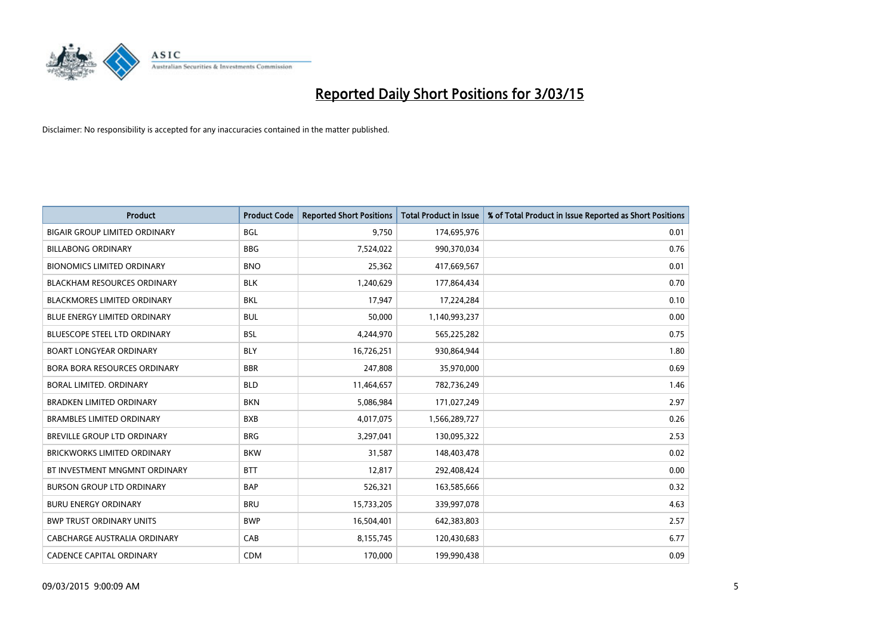

| <b>Product</b>                       | <b>Product Code</b> | <b>Reported Short Positions</b> | <b>Total Product in Issue</b> | % of Total Product in Issue Reported as Short Positions |
|--------------------------------------|---------------------|---------------------------------|-------------------------------|---------------------------------------------------------|
| <b>BIGAIR GROUP LIMITED ORDINARY</b> | <b>BGL</b>          | 9,750                           | 174,695,976                   | 0.01                                                    |
| <b>BILLABONG ORDINARY</b>            | <b>BBG</b>          | 7,524,022                       | 990,370,034                   | 0.76                                                    |
| <b>BIONOMICS LIMITED ORDINARY</b>    | <b>BNO</b>          | 25,362                          | 417,669,567                   | 0.01                                                    |
| <b>BLACKHAM RESOURCES ORDINARY</b>   | <b>BLK</b>          | 1,240,629                       | 177,864,434                   | 0.70                                                    |
| <b>BLACKMORES LIMITED ORDINARY</b>   | <b>BKL</b>          | 17,947                          | 17,224,284                    | 0.10                                                    |
| <b>BLUE ENERGY LIMITED ORDINARY</b>  | <b>BUL</b>          | 50,000                          | 1,140,993,237                 | 0.00                                                    |
| BLUESCOPE STEEL LTD ORDINARY         | <b>BSL</b>          | 4,244,970                       | 565,225,282                   | 0.75                                                    |
| <b>BOART LONGYEAR ORDINARY</b>       | <b>BLY</b>          | 16,726,251                      | 930,864,944                   | 1.80                                                    |
| <b>BORA BORA RESOURCES ORDINARY</b>  | <b>BBR</b>          | 247,808                         | 35,970,000                    | 0.69                                                    |
| <b>BORAL LIMITED, ORDINARY</b>       | <b>BLD</b>          | 11,464,657                      | 782,736,249                   | 1.46                                                    |
| <b>BRADKEN LIMITED ORDINARY</b>      | <b>BKN</b>          | 5,086,984                       | 171,027,249                   | 2.97                                                    |
| <b>BRAMBLES LIMITED ORDINARY</b>     | <b>BXB</b>          | 4,017,075                       | 1,566,289,727                 | 0.26                                                    |
| BREVILLE GROUP LTD ORDINARY          | <b>BRG</b>          | 3,297,041                       | 130,095,322                   | 2.53                                                    |
| <b>BRICKWORKS LIMITED ORDINARY</b>   | <b>BKW</b>          | 31,587                          | 148,403,478                   | 0.02                                                    |
| BT INVESTMENT MNGMNT ORDINARY        | <b>BTT</b>          | 12,817                          | 292,408,424                   | 0.00                                                    |
| <b>BURSON GROUP LTD ORDINARY</b>     | <b>BAP</b>          | 526,321                         | 163,585,666                   | 0.32                                                    |
| <b>BURU ENERGY ORDINARY</b>          | <b>BRU</b>          | 15,733,205                      | 339,997,078                   | 4.63                                                    |
| <b>BWP TRUST ORDINARY UNITS</b>      | <b>BWP</b>          | 16,504,401                      | 642,383,803                   | 2.57                                                    |
| CABCHARGE AUSTRALIA ORDINARY         | CAB                 | 8,155,745                       | 120,430,683                   | 6.77                                                    |
| <b>CADENCE CAPITAL ORDINARY</b>      | <b>CDM</b>          | 170,000                         | 199,990,438                   | 0.09                                                    |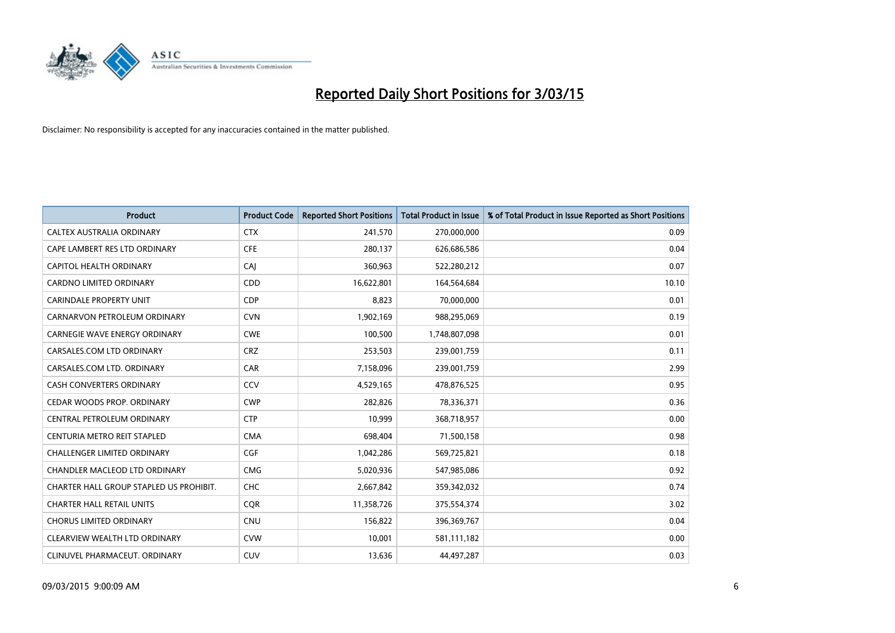

| <b>Product</b>                          | <b>Product Code</b> | <b>Reported Short Positions</b> | <b>Total Product in Issue</b> | % of Total Product in Issue Reported as Short Positions |
|-----------------------------------------|---------------------|---------------------------------|-------------------------------|---------------------------------------------------------|
| CALTEX AUSTRALIA ORDINARY               | <b>CTX</b>          | 241,570                         | 270,000,000                   | 0.09                                                    |
| CAPE LAMBERT RES LTD ORDINARY           | <b>CFE</b>          | 280,137                         | 626,686,586                   | 0.04                                                    |
| CAPITOL HEALTH ORDINARY                 | CAJ                 | 360,963                         | 522,280,212                   | 0.07                                                    |
| CARDNO LIMITED ORDINARY                 | CDD                 | 16,622,801                      | 164,564,684                   | 10.10                                                   |
| <b>CARINDALE PROPERTY UNIT</b>          | <b>CDP</b>          | 8,823                           | 70,000,000                    | 0.01                                                    |
| CARNARVON PETROLEUM ORDINARY            | <b>CVN</b>          | 1,902,169                       | 988,295,069                   | 0.19                                                    |
| <b>CARNEGIE WAVE ENERGY ORDINARY</b>    | <b>CWE</b>          | 100,500                         | 1,748,807,098                 | 0.01                                                    |
| CARSALES.COM LTD ORDINARY               | <b>CRZ</b>          | 253,503                         | 239,001,759                   | 0.11                                                    |
| CARSALES.COM LTD. ORDINARY              | CAR                 | 7,158,096                       | 239,001,759                   | 2.99                                                    |
| <b>CASH CONVERTERS ORDINARY</b>         | CCV                 | 4,529,165                       | 478,876,525                   | 0.95                                                    |
| CEDAR WOODS PROP. ORDINARY              | <b>CWP</b>          | 282,826                         | 78,336,371                    | 0.36                                                    |
| CENTRAL PETROLEUM ORDINARY              | <b>CTP</b>          | 10,999                          | 368,718,957                   | 0.00                                                    |
| CENTURIA METRO REIT STAPLED             | <b>CMA</b>          | 698,404                         | 71,500,158                    | 0.98                                                    |
| <b>CHALLENGER LIMITED ORDINARY</b>      | <b>CGF</b>          | 1,042,286                       | 569,725,821                   | 0.18                                                    |
| <b>CHANDLER MACLEOD LTD ORDINARY</b>    | <b>CMG</b>          | 5,020,936                       | 547,985,086                   | 0.92                                                    |
| CHARTER HALL GROUP STAPLED US PROHIBIT. | <b>CHC</b>          | 2,667,842                       | 359,342,032                   | 0.74                                                    |
| <b>CHARTER HALL RETAIL UNITS</b>        | <b>CQR</b>          | 11,358,726                      | 375,554,374                   | 3.02                                                    |
| <b>CHORUS LIMITED ORDINARY</b>          | <b>CNU</b>          | 156,822                         | 396,369,767                   | 0.04                                                    |
| CLEARVIEW WEALTH LTD ORDINARY           | <b>CVW</b>          | 10,001                          | 581,111,182                   | 0.00                                                    |
| CLINUVEL PHARMACEUT. ORDINARY           | <b>CUV</b>          | 13,636                          | 44,497,287                    | 0.03                                                    |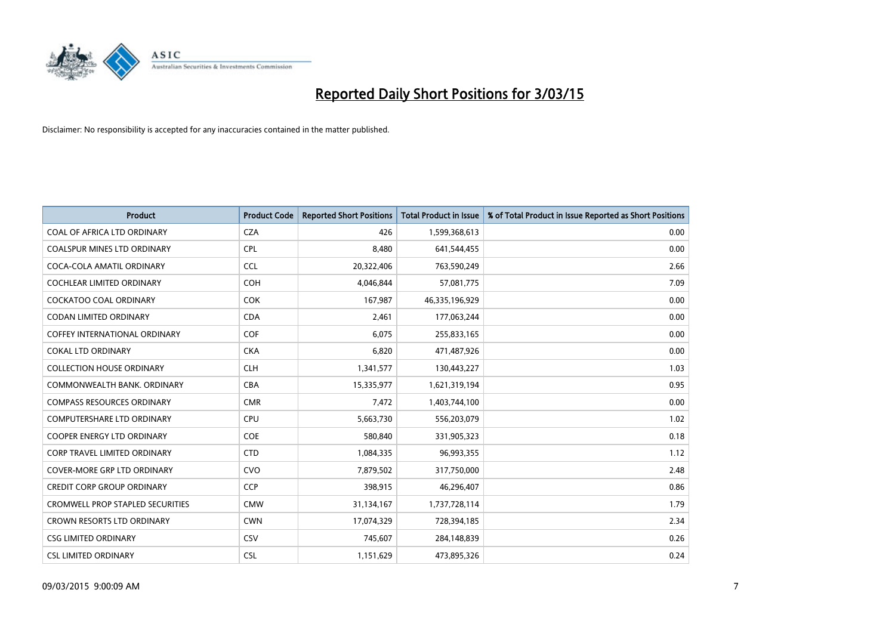

| <b>Product</b>                          | <b>Product Code</b> | <b>Reported Short Positions</b> | <b>Total Product in Issue</b> | % of Total Product in Issue Reported as Short Positions |
|-----------------------------------------|---------------------|---------------------------------|-------------------------------|---------------------------------------------------------|
| COAL OF AFRICA LTD ORDINARY             | <b>CZA</b>          | 426                             | 1,599,368,613                 | 0.00                                                    |
| COALSPUR MINES LTD ORDINARY             | <b>CPL</b>          | 8,480                           | 641,544,455                   | 0.00                                                    |
| COCA-COLA AMATIL ORDINARY               | <b>CCL</b>          | 20,322,406                      | 763,590,249                   | 2.66                                                    |
| <b>COCHLEAR LIMITED ORDINARY</b>        | <b>COH</b>          | 4,046,844                       | 57,081,775                    | 7.09                                                    |
| <b>COCKATOO COAL ORDINARY</b>           | <b>COK</b>          | 167,987                         | 46,335,196,929                | 0.00                                                    |
| <b>CODAN LIMITED ORDINARY</b>           | <b>CDA</b>          | 2,461                           | 177,063,244                   | 0.00                                                    |
| <b>COFFEY INTERNATIONAL ORDINARY</b>    | <b>COF</b>          | 6,075                           | 255,833,165                   | 0.00                                                    |
| <b>COKAL LTD ORDINARY</b>               | <b>CKA</b>          | 6,820                           | 471,487,926                   | 0.00                                                    |
| <b>COLLECTION HOUSE ORDINARY</b>        | <b>CLH</b>          | 1,341,577                       | 130,443,227                   | 1.03                                                    |
| COMMONWEALTH BANK, ORDINARY             | <b>CBA</b>          | 15,335,977                      | 1,621,319,194                 | 0.95                                                    |
| <b>COMPASS RESOURCES ORDINARY</b>       | <b>CMR</b>          | 7,472                           | 1,403,744,100                 | 0.00                                                    |
| <b>COMPUTERSHARE LTD ORDINARY</b>       | <b>CPU</b>          | 5,663,730                       | 556,203,079                   | 1.02                                                    |
| <b>COOPER ENERGY LTD ORDINARY</b>       | <b>COE</b>          | 580,840                         | 331,905,323                   | 0.18                                                    |
| CORP TRAVEL LIMITED ORDINARY            | <b>CTD</b>          | 1,084,335                       | 96,993,355                    | 1.12                                                    |
| <b>COVER-MORE GRP LTD ORDINARY</b>      | <b>CVO</b>          | 7,879,502                       | 317,750,000                   | 2.48                                                    |
| <b>CREDIT CORP GROUP ORDINARY</b>       | <b>CCP</b>          | 398,915                         | 46,296,407                    | 0.86                                                    |
| <b>CROMWELL PROP STAPLED SECURITIES</b> | <b>CMW</b>          | 31,134,167                      | 1,737,728,114                 | 1.79                                                    |
| CROWN RESORTS LTD ORDINARY              | <b>CWN</b>          | 17,074,329                      | 728,394,185                   | 2.34                                                    |
| <b>CSG LIMITED ORDINARY</b>             | CSV                 | 745,607                         | 284,148,839                   | 0.26                                                    |
| <b>CSL LIMITED ORDINARY</b>             | <b>CSL</b>          | 1,151,629                       | 473,895,326                   | 0.24                                                    |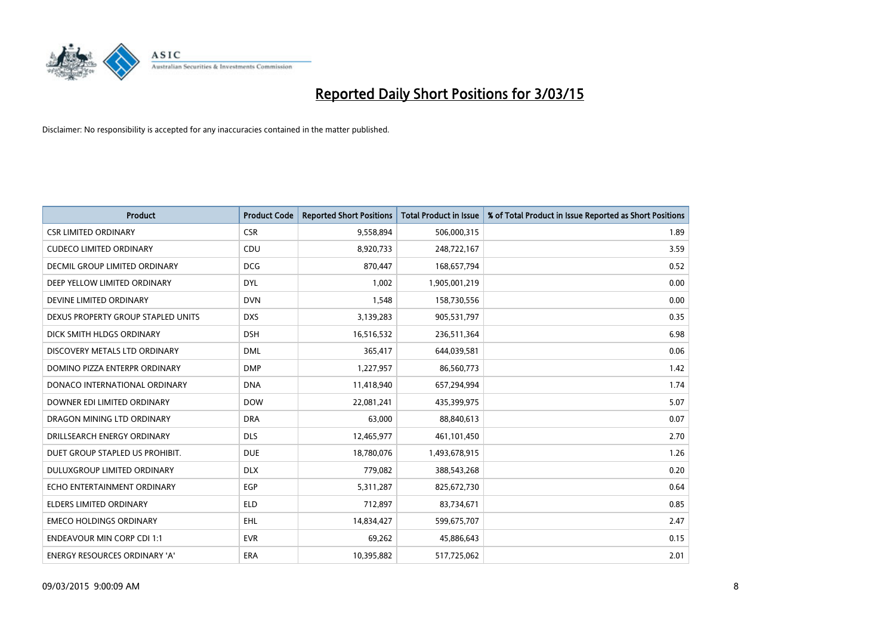

| <b>Product</b>                       | <b>Product Code</b> | <b>Reported Short Positions</b> | <b>Total Product in Issue</b> | % of Total Product in Issue Reported as Short Positions |
|--------------------------------------|---------------------|---------------------------------|-------------------------------|---------------------------------------------------------|
| <b>CSR LIMITED ORDINARY</b>          | <b>CSR</b>          | 9,558,894                       | 506,000,315                   | 1.89                                                    |
| <b>CUDECO LIMITED ORDINARY</b>       | <b>CDU</b>          | 8,920,733                       | 248,722,167                   | 3.59                                                    |
| DECMIL GROUP LIMITED ORDINARY        | <b>DCG</b>          | 870,447                         | 168,657,794                   | 0.52                                                    |
| DEEP YELLOW LIMITED ORDINARY         | <b>DYL</b>          | 1,002                           | 1,905,001,219                 | 0.00                                                    |
| DEVINE LIMITED ORDINARY              | <b>DVN</b>          | 1,548                           | 158,730,556                   | 0.00                                                    |
| DEXUS PROPERTY GROUP STAPLED UNITS   | <b>DXS</b>          | 3,139,283                       | 905,531,797                   | 0.35                                                    |
| DICK SMITH HLDGS ORDINARY            | <b>DSH</b>          | 16,516,532                      | 236,511,364                   | 6.98                                                    |
| DISCOVERY METALS LTD ORDINARY        | <b>DML</b>          | 365,417                         | 644,039,581                   | 0.06                                                    |
| DOMINO PIZZA ENTERPR ORDINARY        | <b>DMP</b>          | 1,227,957                       | 86,560,773                    | 1.42                                                    |
| DONACO INTERNATIONAL ORDINARY        | <b>DNA</b>          | 11,418,940                      | 657,294,994                   | 1.74                                                    |
| DOWNER EDI LIMITED ORDINARY          | <b>DOW</b>          | 22,081,241                      | 435,399,975                   | 5.07                                                    |
| DRAGON MINING LTD ORDINARY           | <b>DRA</b>          | 63,000                          | 88,840,613                    | 0.07                                                    |
| DRILLSEARCH ENERGY ORDINARY          | <b>DLS</b>          | 12,465,977                      | 461,101,450                   | 2.70                                                    |
| DUET GROUP STAPLED US PROHIBIT.      | <b>DUE</b>          | 18,780,076                      | 1,493,678,915                 | 1.26                                                    |
| DULUXGROUP LIMITED ORDINARY          | <b>DLX</b>          | 779,082                         | 388,543,268                   | 0.20                                                    |
| ECHO ENTERTAINMENT ORDINARY          | <b>EGP</b>          | 5,311,287                       | 825,672,730                   | 0.64                                                    |
| ELDERS LIMITED ORDINARY              | <b>ELD</b>          | 712,897                         | 83,734,671                    | 0.85                                                    |
| <b>EMECO HOLDINGS ORDINARY</b>       | EHL                 | 14,834,427                      | 599,675,707                   | 2.47                                                    |
| <b>ENDEAVOUR MIN CORP CDI 1:1</b>    | <b>EVR</b>          | 69,262                          | 45,886,643                    | 0.15                                                    |
| <b>ENERGY RESOURCES ORDINARY 'A'</b> | <b>ERA</b>          | 10,395,882                      | 517,725,062                   | 2.01                                                    |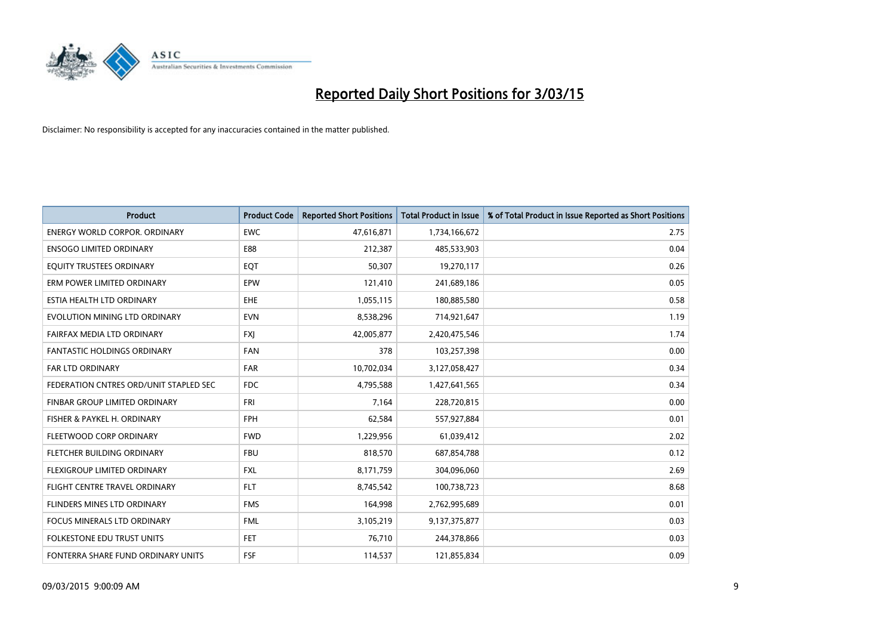

| <b>Product</b>                         | <b>Product Code</b> | <b>Reported Short Positions</b> | <b>Total Product in Issue</b> | % of Total Product in Issue Reported as Short Positions |
|----------------------------------------|---------------------|---------------------------------|-------------------------------|---------------------------------------------------------|
| <b>ENERGY WORLD CORPOR, ORDINARY</b>   | <b>EWC</b>          | 47,616,871                      | 1,734,166,672                 | 2.75                                                    |
| <b>ENSOGO LIMITED ORDINARY</b>         | E88                 | 212,387                         | 485,533,903                   | 0.04                                                    |
| EQUITY TRUSTEES ORDINARY               | EQT                 | 50,307                          | 19,270,117                    | 0.26                                                    |
| ERM POWER LIMITED ORDINARY             | EPW                 | 121,410                         | 241,689,186                   | 0.05                                                    |
| ESTIA HEALTH LTD ORDINARY              | <b>EHE</b>          | 1,055,115                       | 180,885,580                   | 0.58                                                    |
| EVOLUTION MINING LTD ORDINARY          | <b>EVN</b>          | 8,538,296                       | 714,921,647                   | 1.19                                                    |
| FAIRFAX MEDIA LTD ORDINARY             | <b>FXI</b>          | 42,005,877                      | 2,420,475,546                 | 1.74                                                    |
| FANTASTIC HOLDINGS ORDINARY            | <b>FAN</b>          | 378                             | 103,257,398                   | 0.00                                                    |
| <b>FAR LTD ORDINARY</b>                | <b>FAR</b>          | 10,702,034                      | 3,127,058,427                 | 0.34                                                    |
| FEDERATION CNTRES ORD/UNIT STAPLED SEC | FDC                 | 4,795,588                       | 1,427,641,565                 | 0.34                                                    |
| FINBAR GROUP LIMITED ORDINARY          | FRI                 | 7,164                           | 228,720,815                   | 0.00                                                    |
| FISHER & PAYKEL H. ORDINARY            | <b>FPH</b>          | 62,584                          | 557,927,884                   | 0.01                                                    |
| FLEETWOOD CORP ORDINARY                | <b>FWD</b>          | 1,229,956                       | 61,039,412                    | 2.02                                                    |
| FLETCHER BUILDING ORDINARY             | <b>FBU</b>          | 818,570                         | 687,854,788                   | 0.12                                                    |
| FLEXIGROUP LIMITED ORDINARY            | <b>FXL</b>          | 8,171,759                       | 304,096,060                   | 2.69                                                    |
| FLIGHT CENTRE TRAVEL ORDINARY          | <b>FLT</b>          | 8,745,542                       | 100,738,723                   | 8.68                                                    |
| FLINDERS MINES LTD ORDINARY            | <b>FMS</b>          | 164,998                         | 2,762,995,689                 | 0.01                                                    |
| <b>FOCUS MINERALS LTD ORDINARY</b>     | <b>FML</b>          | 3,105,219                       | 9,137,375,877                 | 0.03                                                    |
| FOLKESTONE EDU TRUST UNITS             | FET.                | 76,710                          | 244,378,866                   | 0.03                                                    |
| FONTERRA SHARE FUND ORDINARY UNITS     | FSF                 | 114,537                         | 121,855,834                   | 0.09                                                    |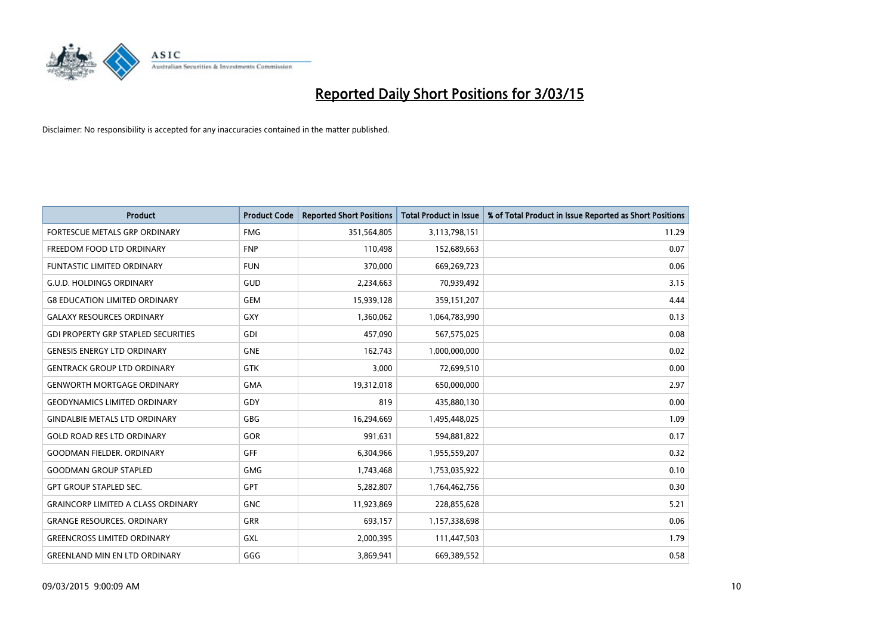

| <b>Product</b>                             | <b>Product Code</b> | <b>Reported Short Positions</b> | <b>Total Product in Issue</b> | % of Total Product in Issue Reported as Short Positions |
|--------------------------------------------|---------------------|---------------------------------|-------------------------------|---------------------------------------------------------|
| FORTESCUE METALS GRP ORDINARY              | <b>FMG</b>          | 351,564,805                     | 3,113,798,151                 | 11.29                                                   |
| FREEDOM FOOD LTD ORDINARY                  | <b>FNP</b>          | 110,498                         | 152,689,663                   | 0.07                                                    |
| <b>FUNTASTIC LIMITED ORDINARY</b>          | <b>FUN</b>          | 370,000                         | 669,269,723                   | 0.06                                                    |
| <b>G.U.D. HOLDINGS ORDINARY</b>            | GUD                 | 2,234,663                       | 70,939,492                    | 3.15                                                    |
| <b>G8 EDUCATION LIMITED ORDINARY</b>       | <b>GEM</b>          | 15,939,128                      | 359,151,207                   | 4.44                                                    |
| <b>GALAXY RESOURCES ORDINARY</b>           | <b>GXY</b>          | 1,360,062                       | 1,064,783,990                 | 0.13                                                    |
| <b>GDI PROPERTY GRP STAPLED SECURITIES</b> | <b>GDI</b>          | 457,090                         | 567,575,025                   | 0.08                                                    |
| <b>GENESIS ENERGY LTD ORDINARY</b>         | <b>GNE</b>          | 162,743                         | 1,000,000,000                 | 0.02                                                    |
| <b>GENTRACK GROUP LTD ORDINARY</b>         | <b>GTK</b>          | 3,000                           | 72,699,510                    | 0.00                                                    |
| <b>GENWORTH MORTGAGE ORDINARY</b>          | <b>GMA</b>          | 19,312,018                      | 650,000,000                   | 2.97                                                    |
| <b>GEODYNAMICS LIMITED ORDINARY</b>        | GDY                 | 819                             | 435,880,130                   | 0.00                                                    |
| <b>GINDALBIE METALS LTD ORDINARY</b>       | <b>GBG</b>          | 16,294,669                      | 1,495,448,025                 | 1.09                                                    |
| <b>GOLD ROAD RES LTD ORDINARY</b>          | GOR                 | 991,631                         | 594,881,822                   | 0.17                                                    |
| <b>GOODMAN FIELDER, ORDINARY</b>           | GFF                 | 6,304,966                       | 1,955,559,207                 | 0.32                                                    |
| <b>GOODMAN GROUP STAPLED</b>               | <b>GMG</b>          | 1,743,468                       | 1,753,035,922                 | 0.10                                                    |
| <b>GPT GROUP STAPLED SEC.</b>              | GPT                 | 5,282,807                       | 1,764,462,756                 | 0.30                                                    |
| <b>GRAINCORP LIMITED A CLASS ORDINARY</b>  | <b>GNC</b>          | 11,923,869                      | 228,855,628                   | 5.21                                                    |
| <b>GRANGE RESOURCES. ORDINARY</b>          | <b>GRR</b>          | 693,157                         | 1,157,338,698                 | 0.06                                                    |
| <b>GREENCROSS LIMITED ORDINARY</b>         | <b>GXL</b>          | 2,000,395                       | 111,447,503                   | 1.79                                                    |
| <b>GREENLAND MIN EN LTD ORDINARY</b>       | GGG                 | 3,869,941                       | 669,389,552                   | 0.58                                                    |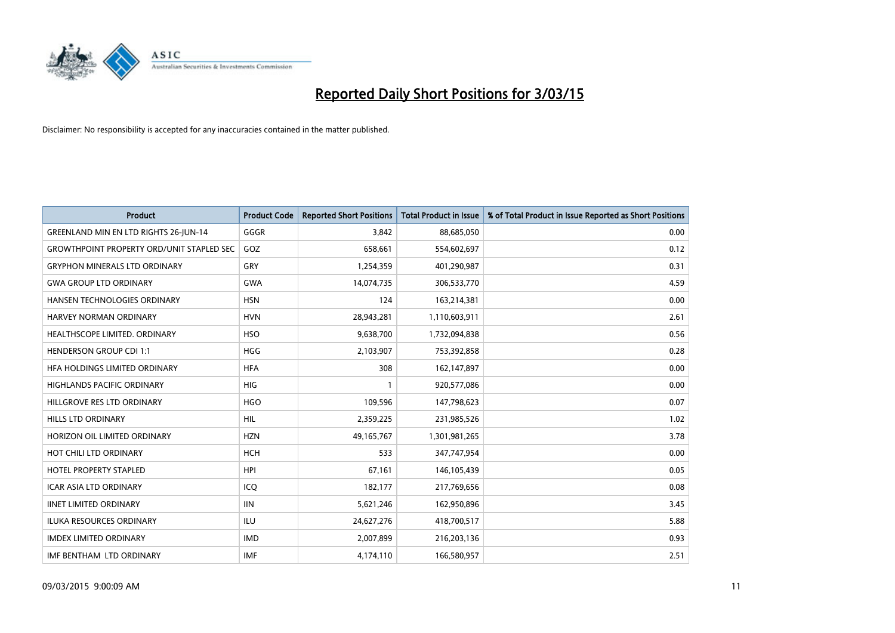

| <b>Product</b>                                   | <b>Product Code</b> | <b>Reported Short Positions</b> | <b>Total Product in Issue</b> | % of Total Product in Issue Reported as Short Positions |
|--------------------------------------------------|---------------------|---------------------------------|-------------------------------|---------------------------------------------------------|
| GREENLAND MIN EN LTD RIGHTS 26-JUN-14            | GGGR                | 3.842                           | 88,685,050                    | 0.00                                                    |
| <b>GROWTHPOINT PROPERTY ORD/UNIT STAPLED SEC</b> | GOZ                 | 658,661                         | 554,602,697                   | 0.12                                                    |
| <b>GRYPHON MINERALS LTD ORDINARY</b>             | GRY                 | 1,254,359                       | 401,290,987                   | 0.31                                                    |
| <b>GWA GROUP LTD ORDINARY</b>                    | <b>GWA</b>          | 14,074,735                      | 306,533,770                   | 4.59                                                    |
| HANSEN TECHNOLOGIES ORDINARY                     | <b>HSN</b>          | 124                             | 163,214,381                   | 0.00                                                    |
| <b>HARVEY NORMAN ORDINARY</b>                    | <b>HVN</b>          | 28,943,281                      | 1,110,603,911                 | 2.61                                                    |
| HEALTHSCOPE LIMITED. ORDINARY                    | <b>HSO</b>          | 9,638,700                       | 1,732,094,838                 | 0.56                                                    |
| <b>HENDERSON GROUP CDI 1:1</b>                   | <b>HGG</b>          | 2,103,907                       | 753,392,858                   | 0.28                                                    |
| HFA HOLDINGS LIMITED ORDINARY                    | <b>HFA</b>          | 308                             | 162,147,897                   | 0.00                                                    |
| <b>HIGHLANDS PACIFIC ORDINARY</b>                | HIG                 | $\mathbf{1}$                    | 920,577,086                   | 0.00                                                    |
| HILLGROVE RES LTD ORDINARY                       | <b>HGO</b>          | 109,596                         | 147,798,623                   | 0.07                                                    |
| <b>HILLS LTD ORDINARY</b>                        | <b>HIL</b>          | 2,359,225                       | 231,985,526                   | 1.02                                                    |
| HORIZON OIL LIMITED ORDINARY                     | <b>HZN</b>          | 49,165,767                      | 1,301,981,265                 | 3.78                                                    |
| HOT CHILI LTD ORDINARY                           | <b>HCH</b>          | 533                             | 347,747,954                   | 0.00                                                    |
| <b>HOTEL PROPERTY STAPLED</b>                    | <b>HPI</b>          | 67,161                          | 146,105,439                   | 0.05                                                    |
| ICAR ASIA LTD ORDINARY                           | ICO                 | 182,177                         | 217,769,656                   | 0.08                                                    |
| <b>IINET LIMITED ORDINARY</b>                    | <b>IIN</b>          | 5,621,246                       | 162,950,896                   | 3.45                                                    |
| ILUKA RESOURCES ORDINARY                         | ILU                 | 24,627,276                      | 418,700,517                   | 5.88                                                    |
| <b>IMDEX LIMITED ORDINARY</b>                    | <b>IMD</b>          | 2,007,899                       | 216,203,136                   | 0.93                                                    |
| IMF BENTHAM LTD ORDINARY                         | <b>IMF</b>          | 4,174,110                       | 166,580,957                   | 2.51                                                    |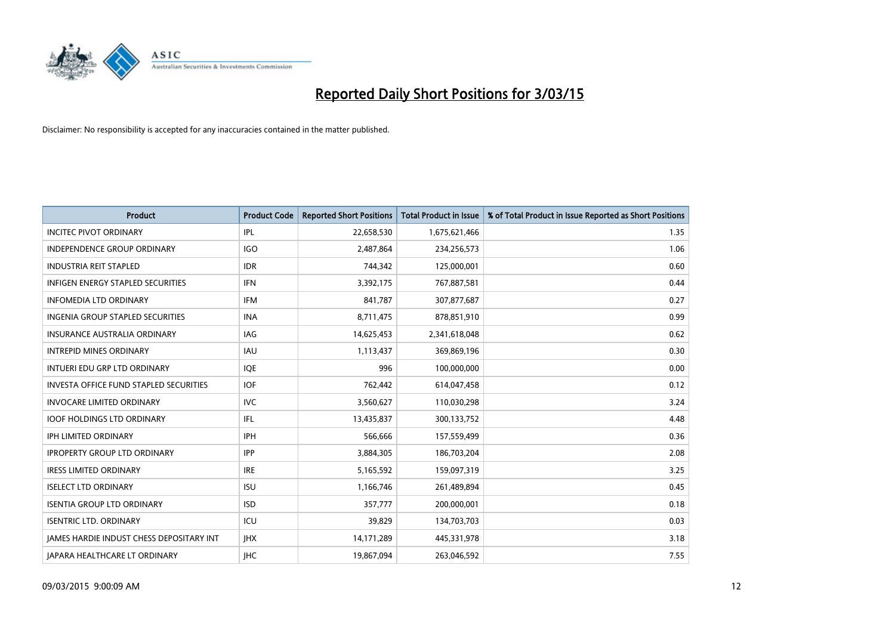

| <b>Product</b>                                  | <b>Product Code</b> | <b>Reported Short Positions</b> | <b>Total Product in Issue</b> | % of Total Product in Issue Reported as Short Positions |
|-------------------------------------------------|---------------------|---------------------------------|-------------------------------|---------------------------------------------------------|
| <b>INCITEC PIVOT ORDINARY</b>                   | IPL                 | 22,658,530                      | 1,675,621,466                 | 1.35                                                    |
| <b>INDEPENDENCE GROUP ORDINARY</b>              | <b>IGO</b>          | 2,487,864                       | 234,256,573                   | 1.06                                                    |
| <b>INDUSTRIA REIT STAPLED</b>                   | <b>IDR</b>          | 744,342                         | 125,000,001                   | 0.60                                                    |
| INFIGEN ENERGY STAPLED SECURITIES               | <b>IFN</b>          | 3,392,175                       | 767,887,581                   | 0.44                                                    |
| <b>INFOMEDIA LTD ORDINARY</b>                   | IFM                 | 841,787                         | 307,877,687                   | 0.27                                                    |
| <b>INGENIA GROUP STAPLED SECURITIES</b>         | <b>INA</b>          | 8,711,475                       | 878,851,910                   | 0.99                                                    |
| INSURANCE AUSTRALIA ORDINARY                    | <b>IAG</b>          | 14,625,453                      | 2,341,618,048                 | 0.62                                                    |
| <b>INTREPID MINES ORDINARY</b>                  | <b>IAU</b>          | 1,113,437                       | 369,869,196                   | 0.30                                                    |
| INTUERI EDU GRP LTD ORDINARY                    | IQE                 | 996                             | 100,000,000                   | 0.00                                                    |
| <b>INVESTA OFFICE FUND STAPLED SECURITIES</b>   | <b>IOF</b>          | 762,442                         | 614,047,458                   | 0.12                                                    |
| <b>INVOCARE LIMITED ORDINARY</b>                | <b>IVC</b>          | 3,560,627                       | 110,030,298                   | 3.24                                                    |
| <b>IOOF HOLDINGS LTD ORDINARY</b>               | IFL                 | 13,435,837                      | 300,133,752                   | 4.48                                                    |
| <b>IPH LIMITED ORDINARY</b>                     | <b>IPH</b>          | 566.666                         | 157,559,499                   | 0.36                                                    |
| <b>IPROPERTY GROUP LTD ORDINARY</b>             | <b>IPP</b>          | 3,884,305                       | 186,703,204                   | 2.08                                                    |
| <b>IRESS LIMITED ORDINARY</b>                   | <b>IRE</b>          | 5,165,592                       | 159,097,319                   | 3.25                                                    |
| <b>ISELECT LTD ORDINARY</b>                     | <b>ISU</b>          | 1,166,746                       | 261,489,894                   | 0.45                                                    |
| <b>ISENTIA GROUP LTD ORDINARY</b>               | <b>ISD</b>          | 357,777                         | 200,000,001                   | 0.18                                                    |
| <b>ISENTRIC LTD. ORDINARY</b>                   | ICU                 | 39,829                          | 134,703,703                   | 0.03                                                    |
| <b>IAMES HARDIE INDUST CHESS DEPOSITARY INT</b> | <b>IHX</b>          | 14,171,289                      | 445,331,978                   | 3.18                                                    |
| JAPARA HEALTHCARE LT ORDINARY                   | <b>IHC</b>          | 19,867,094                      | 263,046,592                   | 7.55                                                    |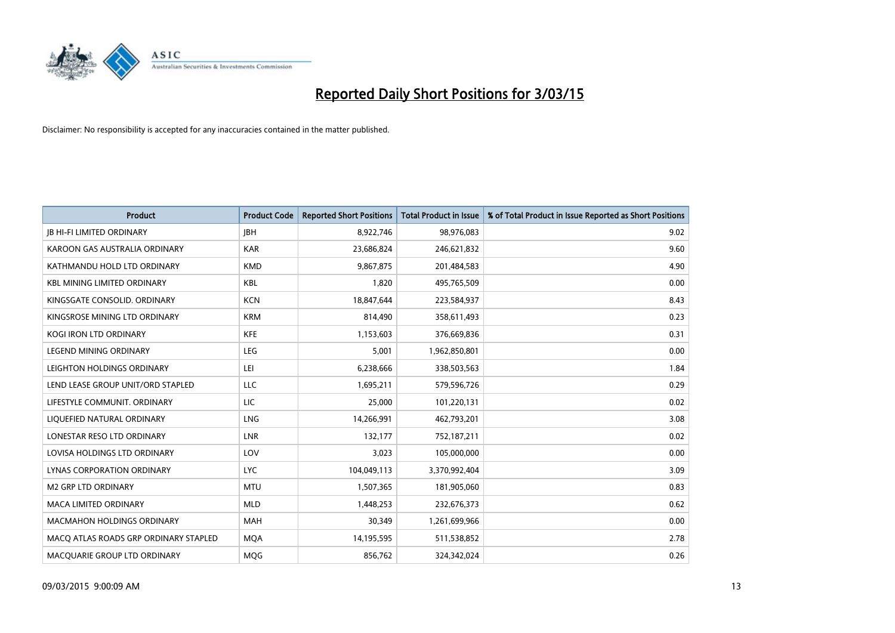

| <b>Product</b>                        | <b>Product Code</b> | <b>Reported Short Positions</b> | <b>Total Product in Issue</b> | % of Total Product in Issue Reported as Short Positions |
|---------------------------------------|---------------------|---------------------------------|-------------------------------|---------------------------------------------------------|
| <b>JB HI-FI LIMITED ORDINARY</b>      | <b>JBH</b>          | 8,922,746                       | 98,976,083                    | 9.02                                                    |
| KAROON GAS AUSTRALIA ORDINARY         | <b>KAR</b>          | 23,686,824                      | 246,621,832                   | 9.60                                                    |
| KATHMANDU HOLD LTD ORDINARY           | <b>KMD</b>          | 9,867,875                       | 201,484,583                   | 4.90                                                    |
| <b>KBL MINING LIMITED ORDINARY</b>    | <b>KBL</b>          | 1,820                           | 495,765,509                   | 0.00                                                    |
| KINGSGATE CONSOLID. ORDINARY          | <b>KCN</b>          | 18,847,644                      | 223,584,937                   | 8.43                                                    |
| KINGSROSE MINING LTD ORDINARY         | <b>KRM</b>          | 814,490                         | 358,611,493                   | 0.23                                                    |
| <b>KOGI IRON LTD ORDINARY</b>         | <b>KFE</b>          | 1,153,603                       | 376,669,836                   | 0.31                                                    |
| LEGEND MINING ORDINARY                | <b>LEG</b>          | 5,001                           | 1,962,850,801                 | 0.00                                                    |
| LEIGHTON HOLDINGS ORDINARY            | LEI                 | 6,238,666                       | 338,503,563                   | 1.84                                                    |
| LEND LEASE GROUP UNIT/ORD STAPLED     | LLC                 | 1,695,211                       | 579,596,726                   | 0.29                                                    |
| LIFESTYLE COMMUNIT. ORDINARY          | LIC                 | 25,000                          | 101,220,131                   | 0.02                                                    |
| LIQUEFIED NATURAL ORDINARY            | <b>LNG</b>          | 14,266,991                      | 462,793,201                   | 3.08                                                    |
| LONESTAR RESO LTD ORDINARY            | <b>LNR</b>          | 132,177                         | 752,187,211                   | 0.02                                                    |
| LOVISA HOLDINGS LTD ORDINARY          | LOV                 | 3,023                           | 105,000,000                   | 0.00                                                    |
| LYNAS CORPORATION ORDINARY            | <b>LYC</b>          | 104,049,113                     | 3,370,992,404                 | 3.09                                                    |
| <b>M2 GRP LTD ORDINARY</b>            | <b>MTU</b>          | 1,507,365                       | 181,905,060                   | 0.83                                                    |
| MACA LIMITED ORDINARY                 | <b>MLD</b>          | 1,448,253                       | 232,676,373                   | 0.62                                                    |
| <b>MACMAHON HOLDINGS ORDINARY</b>     | <b>MAH</b>          | 30,349                          | 1,261,699,966                 | 0.00                                                    |
| MACO ATLAS ROADS GRP ORDINARY STAPLED | <b>MOA</b>          | 14,195,595                      | 511,538,852                   | 2.78                                                    |
| MACQUARIE GROUP LTD ORDINARY          | <b>MOG</b>          | 856,762                         | 324,342,024                   | 0.26                                                    |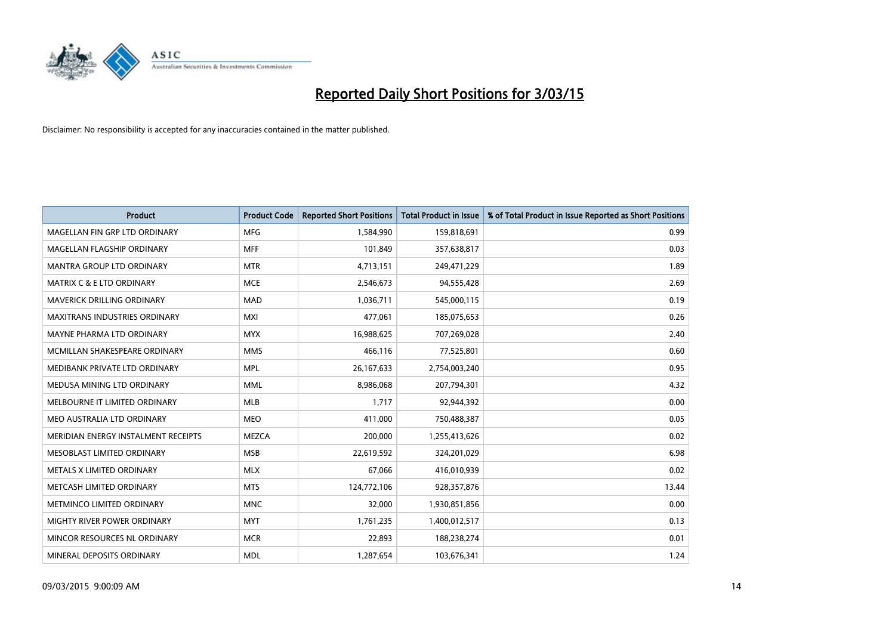

| <b>Product</b>                       | <b>Product Code</b> | <b>Reported Short Positions</b> | <b>Total Product in Issue</b> | % of Total Product in Issue Reported as Short Positions |
|--------------------------------------|---------------------|---------------------------------|-------------------------------|---------------------------------------------------------|
| MAGELLAN FIN GRP LTD ORDINARY        | <b>MFG</b>          | 1,584,990                       | 159,818,691                   | 0.99                                                    |
| MAGELLAN FLAGSHIP ORDINARY           | <b>MFF</b>          | 101,849                         | 357,638,817                   | 0.03                                                    |
| <b>MANTRA GROUP LTD ORDINARY</b>     | <b>MTR</b>          | 4,713,151                       | 249,471,229                   | 1.89                                                    |
| <b>MATRIX C &amp; E LTD ORDINARY</b> | <b>MCE</b>          | 2,546,673                       | 94,555,428                    | 2.69                                                    |
| <b>MAVERICK DRILLING ORDINARY</b>    | <b>MAD</b>          | 1,036,711                       | 545,000,115                   | 0.19                                                    |
| <b>MAXITRANS INDUSTRIES ORDINARY</b> | <b>MXI</b>          | 477,061                         | 185,075,653                   | 0.26                                                    |
| MAYNE PHARMA LTD ORDINARY            | <b>MYX</b>          | 16,988,625                      | 707,269,028                   | 2.40                                                    |
| MCMILLAN SHAKESPEARE ORDINARY        | <b>MMS</b>          | 466,116                         | 77,525,801                    | 0.60                                                    |
| MEDIBANK PRIVATE LTD ORDINARY        | <b>MPL</b>          | 26, 167, 633                    | 2,754,003,240                 | 0.95                                                    |
| MEDUSA MINING LTD ORDINARY           | <b>MML</b>          | 8,986,068                       | 207,794,301                   | 4.32                                                    |
| MELBOURNE IT LIMITED ORDINARY        | MLB                 | 1,717                           | 92,944,392                    | 0.00                                                    |
| MEO AUSTRALIA LTD ORDINARY           | <b>MEO</b>          | 411,000                         | 750,488,387                   | 0.05                                                    |
| MERIDIAN ENERGY INSTALMENT RECEIPTS  | <b>MEZCA</b>        | 200,000                         | 1,255,413,626                 | 0.02                                                    |
| MESOBLAST LIMITED ORDINARY           | <b>MSB</b>          | 22,619,592                      | 324,201,029                   | 6.98                                                    |
| METALS X LIMITED ORDINARY            | <b>MLX</b>          | 67,066                          | 416,010,939                   | 0.02                                                    |
| METCASH LIMITED ORDINARY             | <b>MTS</b>          | 124,772,106                     | 928,357,876                   | 13.44                                                   |
| METMINCO LIMITED ORDINARY            | <b>MNC</b>          | 32,000                          | 1,930,851,856                 | 0.00                                                    |
| MIGHTY RIVER POWER ORDINARY          | <b>MYT</b>          | 1,761,235                       | 1,400,012,517                 | 0.13                                                    |
| MINCOR RESOURCES NL ORDINARY         | <b>MCR</b>          | 22,893                          | 188,238,274                   | 0.01                                                    |
| MINERAL DEPOSITS ORDINARY            | <b>MDL</b>          | 1,287,654                       | 103,676,341                   | 1.24                                                    |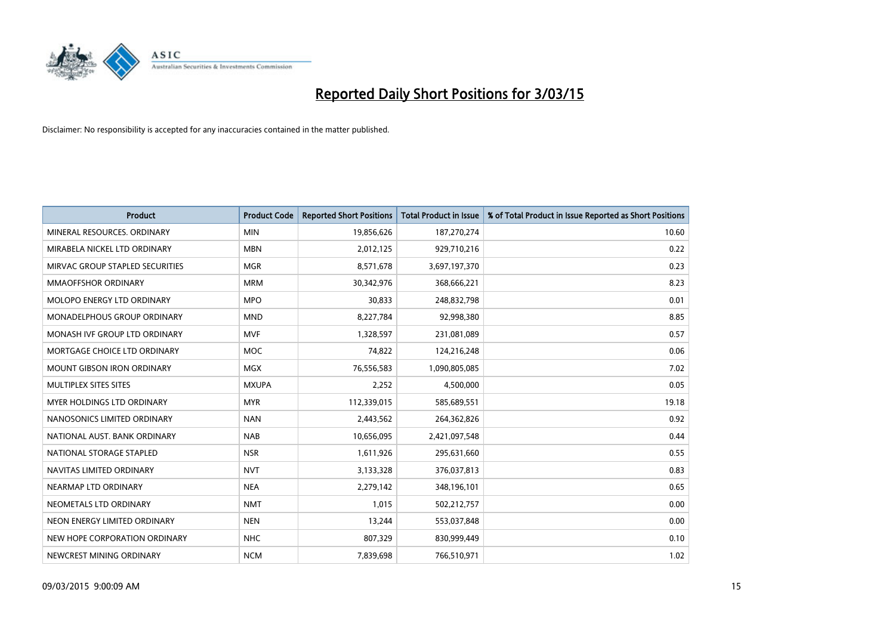

| <b>Product</b>                    | <b>Product Code</b> | <b>Reported Short Positions</b> | <b>Total Product in Issue</b> | % of Total Product in Issue Reported as Short Positions |
|-----------------------------------|---------------------|---------------------------------|-------------------------------|---------------------------------------------------------|
| MINERAL RESOURCES, ORDINARY       | <b>MIN</b>          | 19,856,626                      | 187,270,274                   | 10.60                                                   |
| MIRABELA NICKEL LTD ORDINARY      | <b>MBN</b>          | 2,012,125                       | 929,710,216                   | 0.22                                                    |
| MIRVAC GROUP STAPLED SECURITIES   | <b>MGR</b>          | 8,571,678                       | 3,697,197,370                 | 0.23                                                    |
| <b>MMAOFFSHOR ORDINARY</b>        | <b>MRM</b>          | 30,342,976                      | 368,666,221                   | 8.23                                                    |
| MOLOPO ENERGY LTD ORDINARY        | <b>MPO</b>          | 30,833                          | 248,832,798                   | 0.01                                                    |
| MONADELPHOUS GROUP ORDINARY       | <b>MND</b>          | 8,227,784                       | 92,998,380                    | 8.85                                                    |
| MONASH IVF GROUP LTD ORDINARY     | <b>MVF</b>          | 1,328,597                       | 231,081,089                   | 0.57                                                    |
| MORTGAGE CHOICE LTD ORDINARY      | MOC                 | 74,822                          | 124,216,248                   | 0.06                                                    |
| <b>MOUNT GIBSON IRON ORDINARY</b> | <b>MGX</b>          | 76,556,583                      | 1,090,805,085                 | 7.02                                                    |
| MULTIPLEX SITES SITES             | <b>MXUPA</b>        | 2,252                           | 4,500,000                     | 0.05                                                    |
| MYER HOLDINGS LTD ORDINARY        | <b>MYR</b>          | 112,339,015                     | 585,689,551                   | 19.18                                                   |
| NANOSONICS LIMITED ORDINARY       | <b>NAN</b>          | 2,443,562                       | 264,362,826                   | 0.92                                                    |
| NATIONAL AUST, BANK ORDINARY      | <b>NAB</b>          | 10,656,095                      | 2,421,097,548                 | 0.44                                                    |
| NATIONAL STORAGE STAPLED          | <b>NSR</b>          | 1,611,926                       | 295,631,660                   | 0.55                                                    |
| NAVITAS LIMITED ORDINARY          | <b>NVT</b>          | 3,133,328                       | 376,037,813                   | 0.83                                                    |
| NEARMAP LTD ORDINARY              | <b>NEA</b>          | 2,279,142                       | 348,196,101                   | 0.65                                                    |
| NEOMETALS LTD ORDINARY            | <b>NMT</b>          | 1,015                           | 502,212,757                   | 0.00                                                    |
| NEON ENERGY LIMITED ORDINARY      | <b>NEN</b>          | 13,244                          | 553,037,848                   | 0.00                                                    |
| NEW HOPE CORPORATION ORDINARY     | <b>NHC</b>          | 807,329                         | 830,999,449                   | 0.10                                                    |
| NEWCREST MINING ORDINARY          | <b>NCM</b>          | 7,839,698                       | 766,510,971                   | 1.02                                                    |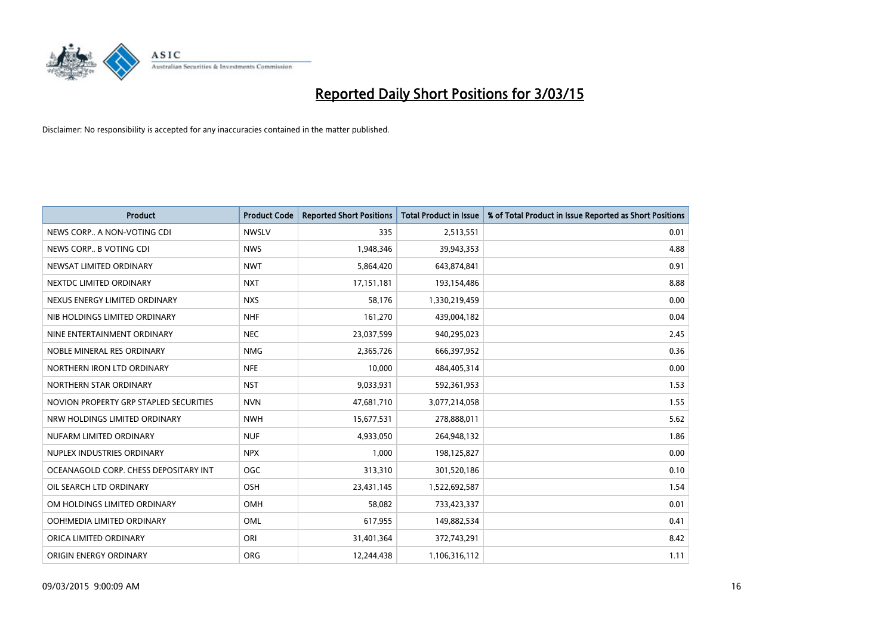

| <b>Product</b>                         | <b>Product Code</b> | <b>Reported Short Positions</b> | <b>Total Product in Issue</b> | % of Total Product in Issue Reported as Short Positions |
|----------------------------------------|---------------------|---------------------------------|-------------------------------|---------------------------------------------------------|
| NEWS CORP A NON-VOTING CDI             | <b>NWSLV</b>        | 335                             | 2,513,551                     | 0.01                                                    |
| NEWS CORP B VOTING CDI                 | <b>NWS</b>          | 1,948,346                       | 39,943,353                    | 4.88                                                    |
| NEWSAT LIMITED ORDINARY                | <b>NWT</b>          | 5,864,420                       | 643,874,841                   | 0.91                                                    |
| NEXTDC LIMITED ORDINARY                | <b>NXT</b>          | 17,151,181                      | 193,154,486                   | 8.88                                                    |
| NEXUS ENERGY LIMITED ORDINARY          | <b>NXS</b>          | 58,176                          | 1,330,219,459                 | 0.00                                                    |
| NIB HOLDINGS LIMITED ORDINARY          | <b>NHF</b>          | 161,270                         | 439,004,182                   | 0.04                                                    |
| NINE ENTERTAINMENT ORDINARY            | <b>NEC</b>          | 23,037,599                      | 940,295,023                   | 2.45                                                    |
| NOBLE MINERAL RES ORDINARY             | <b>NMG</b>          | 2,365,726                       | 666,397,952                   | 0.36                                                    |
| NORTHERN IRON LTD ORDINARY             | <b>NFE</b>          | 10,000                          | 484,405,314                   | 0.00                                                    |
| NORTHERN STAR ORDINARY                 | <b>NST</b>          | 9,033,931                       | 592,361,953                   | 1.53                                                    |
| NOVION PROPERTY GRP STAPLED SECURITIES | <b>NVN</b>          | 47,681,710                      | 3,077,214,058                 | 1.55                                                    |
| NRW HOLDINGS LIMITED ORDINARY          | <b>NWH</b>          | 15,677,531                      | 278,888,011                   | 5.62                                                    |
| NUFARM LIMITED ORDINARY                | <b>NUF</b>          | 4,933,050                       | 264,948,132                   | 1.86                                                    |
| NUPLEX INDUSTRIES ORDINARY             | <b>NPX</b>          | 1,000                           | 198,125,827                   | 0.00                                                    |
| OCEANAGOLD CORP. CHESS DEPOSITARY INT  | <b>OGC</b>          | 313,310                         | 301,520,186                   | 0.10                                                    |
| OIL SEARCH LTD ORDINARY                | OSH                 | 23,431,145                      | 1,522,692,587                 | 1.54                                                    |
| OM HOLDINGS LIMITED ORDINARY           | OMH                 | 58,082                          | 733,423,337                   | 0.01                                                    |
| OOH!MEDIA LIMITED ORDINARY             | OML                 | 617,955                         | 149,882,534                   | 0.41                                                    |
| ORICA LIMITED ORDINARY                 | ORI                 | 31,401,364                      | 372,743,291                   | 8.42                                                    |
| ORIGIN ENERGY ORDINARY                 | <b>ORG</b>          | 12,244,438                      | 1,106,316,112                 | 1.11                                                    |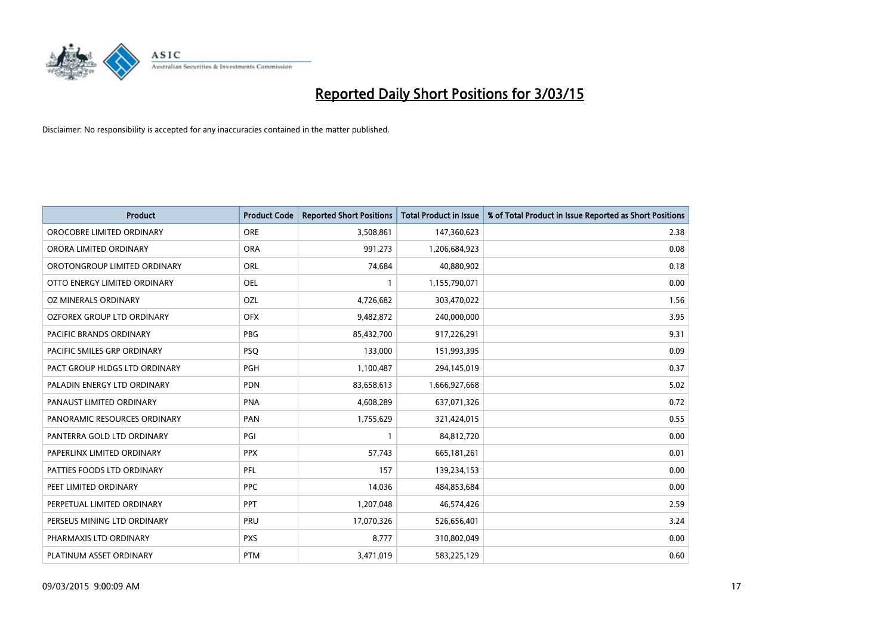

| <b>Product</b>                    | <b>Product Code</b> | <b>Reported Short Positions</b> | <b>Total Product in Issue</b> | % of Total Product in Issue Reported as Short Positions |
|-----------------------------------|---------------------|---------------------------------|-------------------------------|---------------------------------------------------------|
| OROCOBRE LIMITED ORDINARY         | <b>ORE</b>          | 3,508,861                       | 147,360,623                   | 2.38                                                    |
| ORORA LIMITED ORDINARY            | <b>ORA</b>          | 991,273                         | 1,206,684,923                 | 0.08                                                    |
| OROTONGROUP LIMITED ORDINARY      | <b>ORL</b>          | 74,684                          | 40,880,902                    | 0.18                                                    |
| OTTO ENERGY LIMITED ORDINARY      | <b>OEL</b>          | $\mathbf{1}$                    | 1,155,790,071                 | 0.00                                                    |
| OZ MINERALS ORDINARY              | OZL                 | 4,726,682                       | 303,470,022                   | 1.56                                                    |
| <b>OZFOREX GROUP LTD ORDINARY</b> | <b>OFX</b>          | 9,482,872                       | 240,000,000                   | 3.95                                                    |
| PACIFIC BRANDS ORDINARY           | <b>PBG</b>          | 85,432,700                      | 917,226,291                   | 9.31                                                    |
| PACIFIC SMILES GRP ORDINARY       | <b>PSQ</b>          | 133,000                         | 151,993,395                   | 0.09                                                    |
| PACT GROUP HLDGS LTD ORDINARY     | <b>PGH</b>          | 1,100,487                       | 294,145,019                   | 0.37                                                    |
| PALADIN ENERGY LTD ORDINARY       | <b>PDN</b>          | 83,658,613                      | 1,666,927,668                 | 5.02                                                    |
| PANAUST LIMITED ORDINARY          | <b>PNA</b>          | 4,608,289                       | 637,071,326                   | 0.72                                                    |
| PANORAMIC RESOURCES ORDINARY      | PAN                 | 1,755,629                       | 321,424,015                   | 0.55                                                    |
| PANTERRA GOLD LTD ORDINARY        | PGI                 | $\mathbf{1}$                    | 84,812,720                    | 0.00                                                    |
| PAPERLINX LIMITED ORDINARY        | <b>PPX</b>          | 57,743                          | 665, 181, 261                 | 0.01                                                    |
| PATTIES FOODS LTD ORDINARY        | PFL                 | 157                             | 139,234,153                   | 0.00                                                    |
| PEET LIMITED ORDINARY             | <b>PPC</b>          | 14,036                          | 484,853,684                   | 0.00                                                    |
| PERPETUAL LIMITED ORDINARY        | <b>PPT</b>          | 1,207,048                       | 46,574,426                    | 2.59                                                    |
| PERSEUS MINING LTD ORDINARY       | <b>PRU</b>          | 17,070,326                      | 526,656,401                   | 3.24                                                    |
| PHARMAXIS LTD ORDINARY            | <b>PXS</b>          | 8,777                           | 310,802,049                   | 0.00                                                    |
| PLATINUM ASSET ORDINARY           | <b>PTM</b>          | 3,471,019                       | 583,225,129                   | 0.60                                                    |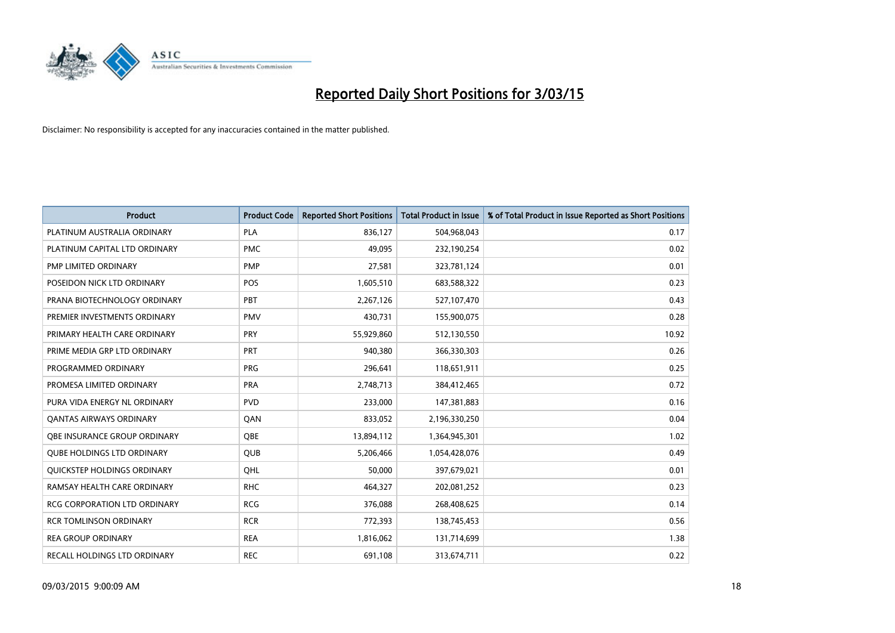

| <b>Product</b>                    | <b>Product Code</b> | <b>Reported Short Positions</b> | <b>Total Product in Issue</b> | % of Total Product in Issue Reported as Short Positions |
|-----------------------------------|---------------------|---------------------------------|-------------------------------|---------------------------------------------------------|
| PLATINUM AUSTRALIA ORDINARY       | <b>PLA</b>          | 836,127                         | 504,968,043                   | 0.17                                                    |
| PLATINUM CAPITAL LTD ORDINARY     | <b>PMC</b>          | 49,095                          | 232,190,254                   | 0.02                                                    |
| PMP LIMITED ORDINARY              | <b>PMP</b>          | 27,581                          | 323,781,124                   | 0.01                                                    |
| POSEIDON NICK LTD ORDINARY        | <b>POS</b>          | 1,605,510                       | 683,588,322                   | 0.23                                                    |
| PRANA BIOTECHNOLOGY ORDINARY      | PBT                 | 2,267,126                       | 527,107,470                   | 0.43                                                    |
| PREMIER INVESTMENTS ORDINARY      | <b>PMV</b>          | 430,731                         | 155,900,075                   | 0.28                                                    |
| PRIMARY HEALTH CARE ORDINARY      | <b>PRY</b>          | 55,929,860                      | 512,130,550                   | 10.92                                                   |
| PRIME MEDIA GRP LTD ORDINARY      | <b>PRT</b>          | 940,380                         | 366,330,303                   | 0.26                                                    |
| PROGRAMMED ORDINARY               | <b>PRG</b>          | 296,641                         | 118,651,911                   | 0.25                                                    |
| PROMESA LIMITED ORDINARY          | <b>PRA</b>          | 2,748,713                       | 384,412,465                   | 0.72                                                    |
| PURA VIDA ENERGY NL ORDINARY      | <b>PVD</b>          | 233,000                         | 147,381,883                   | 0.16                                                    |
| <b>QANTAS AIRWAYS ORDINARY</b>    | QAN                 | 833,052                         | 2,196,330,250                 | 0.04                                                    |
| OBE INSURANCE GROUP ORDINARY      | <b>OBE</b>          | 13,894,112                      | 1,364,945,301                 | 1.02                                                    |
| <b>QUBE HOLDINGS LTD ORDINARY</b> | <b>QUB</b>          | 5,206,466                       | 1,054,428,076                 | 0.49                                                    |
| QUICKSTEP HOLDINGS ORDINARY       | OHL                 | 50,000                          | 397,679,021                   | 0.01                                                    |
| RAMSAY HEALTH CARE ORDINARY       | <b>RHC</b>          | 464,327                         | 202,081,252                   | 0.23                                                    |
| RCG CORPORATION LTD ORDINARY      | <b>RCG</b>          | 376,088                         | 268,408,625                   | 0.14                                                    |
| <b>RCR TOMLINSON ORDINARY</b>     | <b>RCR</b>          | 772,393                         | 138,745,453                   | 0.56                                                    |
| <b>REA GROUP ORDINARY</b>         | <b>REA</b>          | 1,816,062                       | 131,714,699                   | 1.38                                                    |
| RECALL HOLDINGS LTD ORDINARY      | <b>REC</b>          | 691,108                         | 313,674,711                   | 0.22                                                    |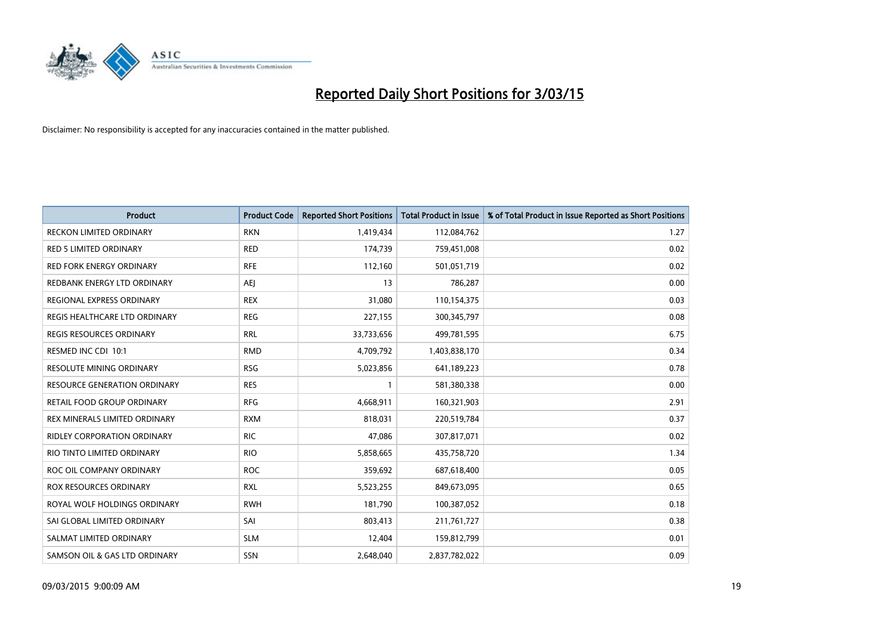

| <b>Product</b>                      | <b>Product Code</b> | <b>Reported Short Positions</b> | <b>Total Product in Issue</b> | % of Total Product in Issue Reported as Short Positions |
|-------------------------------------|---------------------|---------------------------------|-------------------------------|---------------------------------------------------------|
| <b>RECKON LIMITED ORDINARY</b>      | <b>RKN</b>          | 1,419,434                       | 112,084,762                   | 1.27                                                    |
| <b>RED 5 LIMITED ORDINARY</b>       | <b>RED</b>          | 174,739                         | 759,451,008                   | 0.02                                                    |
| <b>RED FORK ENERGY ORDINARY</b>     | <b>RFE</b>          | 112,160                         | 501,051,719                   | 0.02                                                    |
| REDBANK ENERGY LTD ORDINARY         | AEJ                 | 13                              | 786,287                       | 0.00                                                    |
| REGIONAL EXPRESS ORDINARY           | <b>REX</b>          | 31,080                          | 110,154,375                   | 0.03                                                    |
| REGIS HEALTHCARE LTD ORDINARY       | <b>REG</b>          | 227,155                         | 300,345,797                   | 0.08                                                    |
| REGIS RESOURCES ORDINARY            | <b>RRL</b>          | 33,733,656                      | 499,781,595                   | 6.75                                                    |
| RESMED INC CDI 10:1                 | <b>RMD</b>          | 4,709,792                       | 1,403,838,170                 | 0.34                                                    |
| <b>RESOLUTE MINING ORDINARY</b>     | <b>RSG</b>          | 5,023,856                       | 641,189,223                   | 0.78                                                    |
| <b>RESOURCE GENERATION ORDINARY</b> | <b>RES</b>          | $\mathbf{1}$                    | 581,380,338                   | 0.00                                                    |
| RETAIL FOOD GROUP ORDINARY          | <b>RFG</b>          | 4,668,911                       | 160,321,903                   | 2.91                                                    |
| REX MINERALS LIMITED ORDINARY       | <b>RXM</b>          | 818,031                         | 220,519,784                   | 0.37                                                    |
| RIDLEY CORPORATION ORDINARY         | <b>RIC</b>          | 47,086                          | 307,817,071                   | 0.02                                                    |
| RIO TINTO LIMITED ORDINARY          | <b>RIO</b>          | 5,858,665                       | 435,758,720                   | 1.34                                                    |
| ROC OIL COMPANY ORDINARY            | <b>ROC</b>          | 359,692                         | 687,618,400                   | 0.05                                                    |
| ROX RESOURCES ORDINARY              | <b>RXL</b>          | 5,523,255                       | 849,673,095                   | 0.65                                                    |
| ROYAL WOLF HOLDINGS ORDINARY        | <b>RWH</b>          | 181,790                         | 100,387,052                   | 0.18                                                    |
| SAI GLOBAL LIMITED ORDINARY         | SAI                 | 803,413                         | 211,761,727                   | 0.38                                                    |
| SALMAT LIMITED ORDINARY             | <b>SLM</b>          | 12,404                          | 159,812,799                   | 0.01                                                    |
| SAMSON OIL & GAS LTD ORDINARY       | SSN                 | 2,648,040                       | 2,837,782,022                 | 0.09                                                    |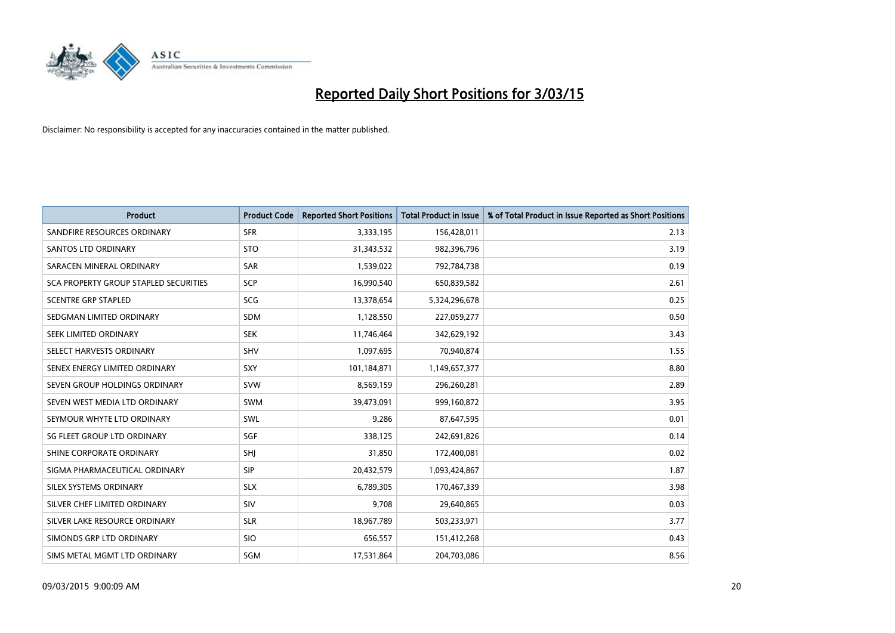

| <b>Product</b>                        | <b>Product Code</b> | <b>Reported Short Positions</b> | <b>Total Product in Issue</b> | % of Total Product in Issue Reported as Short Positions |
|---------------------------------------|---------------------|---------------------------------|-------------------------------|---------------------------------------------------------|
| SANDFIRE RESOURCES ORDINARY           | <b>SFR</b>          | 3,333,195                       | 156,428,011                   | 2.13                                                    |
| <b>SANTOS LTD ORDINARY</b>            | <b>STO</b>          | 31,343,532                      | 982,396,796                   | 3.19                                                    |
| SARACEN MINERAL ORDINARY              | <b>SAR</b>          | 1,539,022                       | 792,784,738                   | 0.19                                                    |
| SCA PROPERTY GROUP STAPLED SECURITIES | <b>SCP</b>          | 16,990,540                      | 650,839,582                   | 2.61                                                    |
| <b>SCENTRE GRP STAPLED</b>            | SCG                 | 13,378,654                      | 5,324,296,678                 | 0.25                                                    |
| SEDGMAN LIMITED ORDINARY              | <b>SDM</b>          | 1,128,550                       | 227,059,277                   | 0.50                                                    |
| SEEK LIMITED ORDINARY                 | <b>SEK</b>          | 11,746,464                      | 342,629,192                   | 3.43                                                    |
| SELECT HARVESTS ORDINARY              | <b>SHV</b>          | 1,097,695                       | 70,940,874                    | 1.55                                                    |
| SENEX ENERGY LIMITED ORDINARY         | <b>SXY</b>          | 101,184,871                     | 1,149,657,377                 | 8.80                                                    |
| SEVEN GROUP HOLDINGS ORDINARY         | <b>SVW</b>          | 8,569,159                       | 296,260,281                   | 2.89                                                    |
| SEVEN WEST MEDIA LTD ORDINARY         | SWM                 | 39,473,091                      | 999,160,872                   | 3.95                                                    |
| SEYMOUR WHYTE LTD ORDINARY            | SWL                 | 9,286                           | 87,647,595                    | 0.01                                                    |
| SG FLEET GROUP LTD ORDINARY           | SGF                 | 338,125                         | 242,691,826                   | 0.14                                                    |
| SHINE CORPORATE ORDINARY              | SHI                 | 31,850                          | 172,400,081                   | 0.02                                                    |
| SIGMA PHARMACEUTICAL ORDINARY         | <b>SIP</b>          | 20,432,579                      | 1,093,424,867                 | 1.87                                                    |
| SILEX SYSTEMS ORDINARY                | <b>SLX</b>          | 6,789,305                       | 170,467,339                   | 3.98                                                    |
| SILVER CHEF LIMITED ORDINARY          | SIV                 | 9,708                           | 29,640,865                    | 0.03                                                    |
| SILVER LAKE RESOURCE ORDINARY         | <b>SLR</b>          | 18,967,789                      | 503,233,971                   | 3.77                                                    |
| SIMONDS GRP LTD ORDINARY              | <b>SIO</b>          | 656,557                         | 151,412,268                   | 0.43                                                    |
| SIMS METAL MGMT LTD ORDINARY          | SGM                 | 17,531,864                      | 204,703,086                   | 8.56                                                    |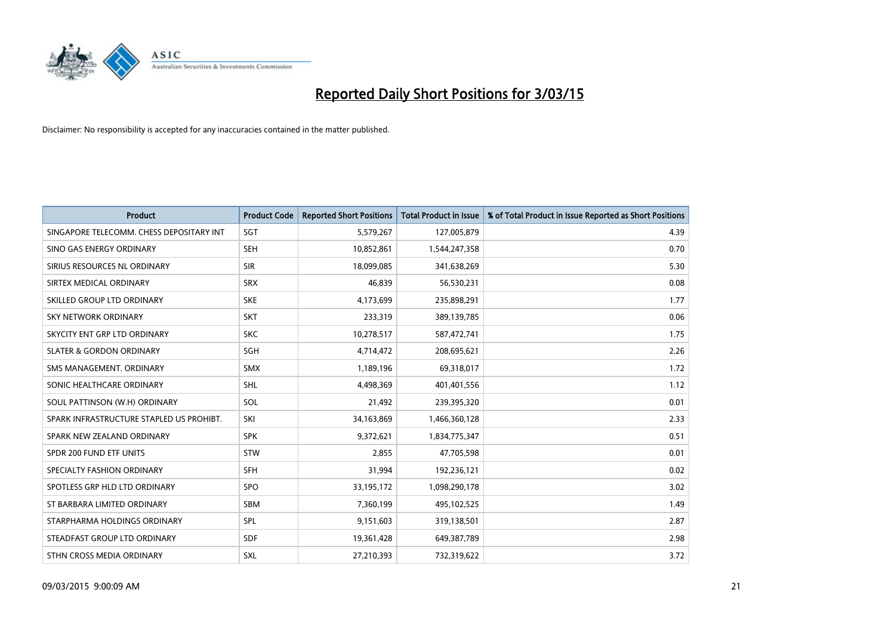

| <b>Product</b>                           | <b>Product Code</b> | <b>Reported Short Positions</b> | <b>Total Product in Issue</b> | % of Total Product in Issue Reported as Short Positions |
|------------------------------------------|---------------------|---------------------------------|-------------------------------|---------------------------------------------------------|
| SINGAPORE TELECOMM. CHESS DEPOSITARY INT | SGT                 | 5,579,267                       | 127,005,879                   | 4.39                                                    |
| SINO GAS ENERGY ORDINARY                 | <b>SEH</b>          | 10,852,861                      | 1,544,247,358                 | 0.70                                                    |
| SIRIUS RESOURCES NL ORDINARY             | <b>SIR</b>          | 18,099,085                      | 341,638,269                   | 5.30                                                    |
| SIRTEX MEDICAL ORDINARY                  | <b>SRX</b>          | 46,839                          | 56,530,231                    | 0.08                                                    |
| SKILLED GROUP LTD ORDINARY               | <b>SKE</b>          | 4,173,699                       | 235,898,291                   | 1.77                                                    |
| SKY NETWORK ORDINARY                     | SKT                 | 233,319                         | 389,139,785                   | 0.06                                                    |
| SKYCITY ENT GRP LTD ORDINARY             | <b>SKC</b>          | 10,278,517                      | 587,472,741                   | 1.75                                                    |
| <b>SLATER &amp; GORDON ORDINARY</b>      | <b>SGH</b>          | 4,714,472                       | 208,695,621                   | 2.26                                                    |
| SMS MANAGEMENT, ORDINARY                 | <b>SMX</b>          | 1,189,196                       | 69,318,017                    | 1.72                                                    |
| SONIC HEALTHCARE ORDINARY                | SHL                 | 4,498,369                       | 401,401,556                   | 1.12                                                    |
| SOUL PATTINSON (W.H) ORDINARY            | SOL                 | 21,492                          | 239,395,320                   | 0.01                                                    |
| SPARK INFRASTRUCTURE STAPLED US PROHIBT. | SKI                 | 34,163,869                      | 1,466,360,128                 | 2.33                                                    |
| SPARK NEW ZEALAND ORDINARY               | <b>SPK</b>          | 9,372,621                       | 1,834,775,347                 | 0.51                                                    |
| SPDR 200 FUND ETF UNITS                  | <b>STW</b>          | 2,855                           | 47,705,598                    | 0.01                                                    |
| SPECIALTY FASHION ORDINARY               | <b>SFH</b>          | 31,994                          | 192,236,121                   | 0.02                                                    |
| SPOTLESS GRP HLD LTD ORDINARY            | <b>SPO</b>          | 33,195,172                      | 1,098,290,178                 | 3.02                                                    |
| ST BARBARA LIMITED ORDINARY              | SBM                 | 7,360,199                       | 495,102,525                   | 1.49                                                    |
| STARPHARMA HOLDINGS ORDINARY             | <b>SPL</b>          | 9,151,603                       | 319,138,501                   | 2.87                                                    |
| STEADFAST GROUP LTD ORDINARY             | <b>SDF</b>          | 19,361,428                      | 649,387,789                   | 2.98                                                    |
| STHN CROSS MEDIA ORDINARY                | <b>SXL</b>          | 27,210,393                      | 732,319,622                   | 3.72                                                    |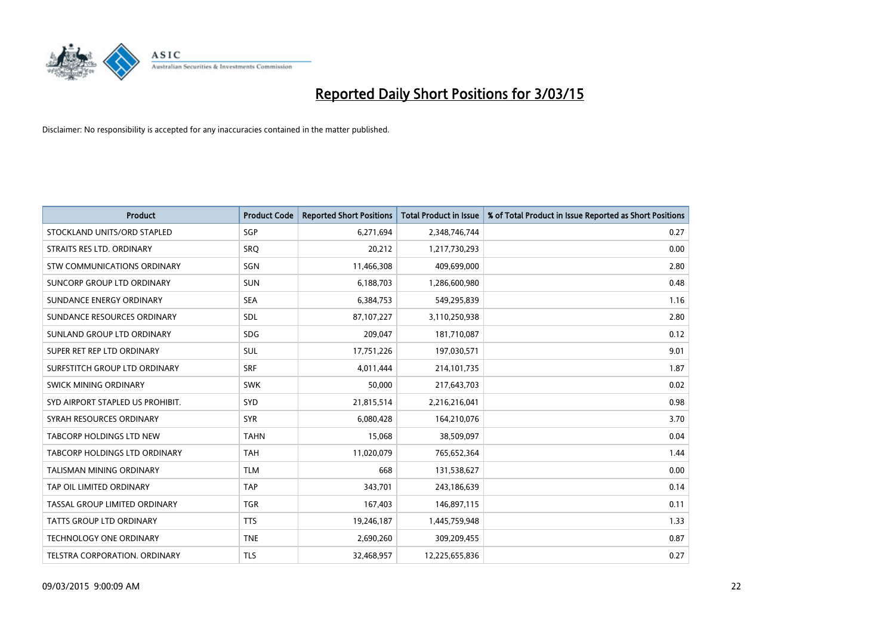

| <b>Product</b>                       | <b>Product Code</b> | <b>Reported Short Positions</b> | <b>Total Product in Issue</b> | % of Total Product in Issue Reported as Short Positions |
|--------------------------------------|---------------------|---------------------------------|-------------------------------|---------------------------------------------------------|
| STOCKLAND UNITS/ORD STAPLED          | SGP                 | 6,271,694                       | 2,348,746,744                 | 0.27                                                    |
| STRAITS RES LTD. ORDINARY            | SRO                 | 20,212                          | 1,217,730,293                 | 0.00                                                    |
| STW COMMUNICATIONS ORDINARY          | SGN                 | 11,466,308                      | 409,699,000                   | 2.80                                                    |
| SUNCORP GROUP LTD ORDINARY           | <b>SUN</b>          | 6,188,703                       | 1,286,600,980                 | 0.48                                                    |
| SUNDANCE ENERGY ORDINARY             | <b>SEA</b>          | 6,384,753                       | 549,295,839                   | 1.16                                                    |
| SUNDANCE RESOURCES ORDINARY          | SDL                 | 87,107,227                      | 3,110,250,938                 | 2.80                                                    |
| SUNLAND GROUP LTD ORDINARY           | <b>SDG</b>          | 209,047                         | 181,710,087                   | 0.12                                                    |
| SUPER RET REP LTD ORDINARY           | SUL                 | 17,751,226                      | 197,030,571                   | 9.01                                                    |
| SURFSTITCH GROUP LTD ORDINARY        | <b>SRF</b>          | 4,011,444                       | 214, 101, 735                 | 1.87                                                    |
| SWICK MINING ORDINARY                | <b>SWK</b>          | 50,000                          | 217,643,703                   | 0.02                                                    |
| SYD AIRPORT STAPLED US PROHIBIT.     | <b>SYD</b>          | 21,815,514                      | 2,216,216,041                 | 0.98                                                    |
| SYRAH RESOURCES ORDINARY             | <b>SYR</b>          | 6,080,428                       | 164,210,076                   | 3.70                                                    |
| <b>TABCORP HOLDINGS LTD NEW</b>      | <b>TAHN</b>         | 15,068                          | 38,509,097                    | 0.04                                                    |
| <b>TABCORP HOLDINGS LTD ORDINARY</b> | <b>TAH</b>          | 11,020,079                      | 765,652,364                   | 1.44                                                    |
| <b>TALISMAN MINING ORDINARY</b>      | <b>TLM</b>          | 668                             | 131,538,627                   | 0.00                                                    |
| TAP OIL LIMITED ORDINARY             | <b>TAP</b>          | 343,701                         | 243,186,639                   | 0.14                                                    |
| TASSAL GROUP LIMITED ORDINARY        | <b>TGR</b>          | 167,403                         | 146,897,115                   | 0.11                                                    |
| TATTS GROUP LTD ORDINARY             | <b>TTS</b>          | 19,246,187                      | 1,445,759,948                 | 1.33                                                    |
| <b>TECHNOLOGY ONE ORDINARY</b>       | <b>TNE</b>          | 2,690,260                       | 309,209,455                   | 0.87                                                    |
| TELSTRA CORPORATION, ORDINARY        | <b>TLS</b>          | 32,468,957                      | 12,225,655,836                | 0.27                                                    |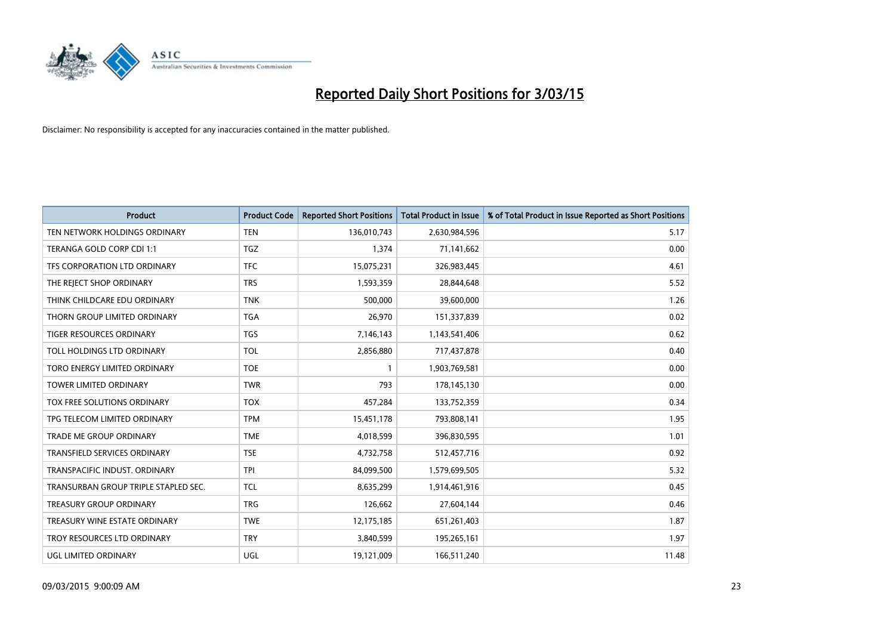

| <b>Product</b>                       | <b>Product Code</b> | <b>Reported Short Positions</b> | <b>Total Product in Issue</b> | % of Total Product in Issue Reported as Short Positions |
|--------------------------------------|---------------------|---------------------------------|-------------------------------|---------------------------------------------------------|
| TEN NETWORK HOLDINGS ORDINARY        | <b>TEN</b>          | 136,010,743                     | 2,630,984,596                 | 5.17                                                    |
| TERANGA GOLD CORP CDI 1:1            | <b>TGZ</b>          | 1,374                           | 71,141,662                    | 0.00                                                    |
| TFS CORPORATION LTD ORDINARY         | <b>TFC</b>          | 15,075,231                      | 326,983,445                   | 4.61                                                    |
| THE REJECT SHOP ORDINARY             | <b>TRS</b>          | 1,593,359                       | 28,844,648                    | 5.52                                                    |
| THINK CHILDCARE EDU ORDINARY         | <b>TNK</b>          | 500,000                         | 39,600,000                    | 1.26                                                    |
| THORN GROUP LIMITED ORDINARY         | <b>TGA</b>          | 26,970                          | 151,337,839                   | 0.02                                                    |
| TIGER RESOURCES ORDINARY             | <b>TGS</b>          | 7,146,143                       | 1,143,541,406                 | 0.62                                                    |
| TOLL HOLDINGS LTD ORDINARY           | <b>TOL</b>          | 2,856,880                       | 717,437,878                   | 0.40                                                    |
| TORO ENERGY LIMITED ORDINARY         | <b>TOE</b>          | 1                               | 1,903,769,581                 | 0.00                                                    |
| <b>TOWER LIMITED ORDINARY</b>        | <b>TWR</b>          | 793                             | 178,145,130                   | 0.00                                                    |
| TOX FREE SOLUTIONS ORDINARY          | <b>TOX</b>          | 457,284                         | 133,752,359                   | 0.34                                                    |
| TPG TELECOM LIMITED ORDINARY         | <b>TPM</b>          | 15,451,178                      | 793,808,141                   | 1.95                                                    |
| <b>TRADE ME GROUP ORDINARY</b>       | <b>TME</b>          | 4,018,599                       | 396,830,595                   | 1.01                                                    |
| <b>TRANSFIELD SERVICES ORDINARY</b>  | <b>TSE</b>          | 4,732,758                       | 512,457,716                   | 0.92                                                    |
| TRANSPACIFIC INDUST, ORDINARY        | <b>TPI</b>          | 84,099,500                      | 1,579,699,505                 | 5.32                                                    |
| TRANSURBAN GROUP TRIPLE STAPLED SEC. | <b>TCL</b>          | 8,635,299                       | 1,914,461,916                 | 0.45                                                    |
| TREASURY GROUP ORDINARY              | <b>TRG</b>          | 126,662                         | 27,604,144                    | 0.46                                                    |
| TREASURY WINE ESTATE ORDINARY        | <b>TWE</b>          | 12,175,185                      | 651,261,403                   | 1.87                                                    |
| TROY RESOURCES LTD ORDINARY          | <b>TRY</b>          | 3,840,599                       | 195,265,161                   | 1.97                                                    |
| UGL LIMITED ORDINARY                 | UGL                 | 19,121,009                      | 166,511,240                   | 11.48                                                   |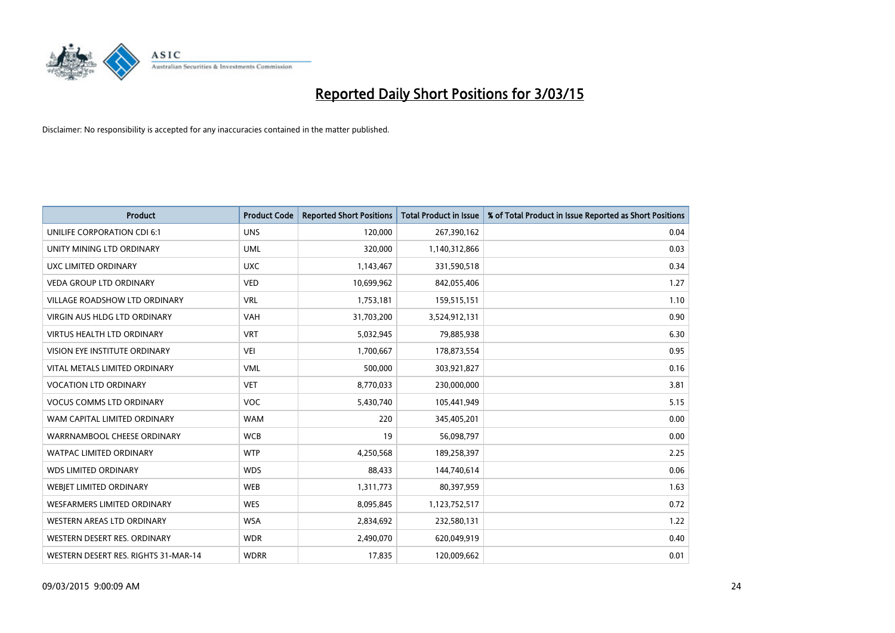

| <b>Product</b>                       | <b>Product Code</b> | <b>Reported Short Positions</b> | <b>Total Product in Issue</b> | % of Total Product in Issue Reported as Short Positions |
|--------------------------------------|---------------------|---------------------------------|-------------------------------|---------------------------------------------------------|
| UNILIFE CORPORATION CDI 6:1          | <b>UNS</b>          | 120,000                         | 267,390,162                   | 0.04                                                    |
| UNITY MINING LTD ORDINARY            | <b>UML</b>          | 320,000                         | 1,140,312,866                 | 0.03                                                    |
| UXC LIMITED ORDINARY                 | <b>UXC</b>          | 1,143,467                       | 331,590,518                   | 0.34                                                    |
| <b>VEDA GROUP LTD ORDINARY</b>       | <b>VED</b>          | 10,699,962                      | 842,055,406                   | 1.27                                                    |
| <b>VILLAGE ROADSHOW LTD ORDINARY</b> | <b>VRL</b>          | 1,753,181                       | 159,515,151                   | 1.10                                                    |
| <b>VIRGIN AUS HLDG LTD ORDINARY</b>  | <b>VAH</b>          | 31,703,200                      | 3,524,912,131                 | 0.90                                                    |
| <b>VIRTUS HEALTH LTD ORDINARY</b>    | <b>VRT</b>          | 5,032,945                       | 79,885,938                    | 6.30                                                    |
| VISION EYE INSTITUTE ORDINARY        | <b>VEI</b>          | 1,700,667                       | 178,873,554                   | 0.95                                                    |
| VITAL METALS LIMITED ORDINARY        | <b>VML</b>          | 500,000                         | 303,921,827                   | 0.16                                                    |
| <b>VOCATION LTD ORDINARY</b>         | <b>VET</b>          | 8,770,033                       | 230,000,000                   | 3.81                                                    |
| <b>VOCUS COMMS LTD ORDINARY</b>      | <b>VOC</b>          | 5,430,740                       | 105,441,949                   | 5.15                                                    |
| WAM CAPITAL LIMITED ORDINARY         | <b>WAM</b>          | 220                             | 345,405,201                   | 0.00                                                    |
| WARRNAMBOOL CHEESE ORDINARY          | <b>WCB</b>          | 19                              | 56,098,797                    | 0.00                                                    |
| <b>WATPAC LIMITED ORDINARY</b>       | <b>WTP</b>          | 4,250,568                       | 189,258,397                   | 2.25                                                    |
| <b>WDS LIMITED ORDINARY</b>          | <b>WDS</b>          | 88,433                          | 144,740,614                   | 0.06                                                    |
| WEBJET LIMITED ORDINARY              | <b>WEB</b>          | 1,311,773                       | 80,397,959                    | 1.63                                                    |
| <b>WESFARMERS LIMITED ORDINARY</b>   | <b>WES</b>          | 8,095,845                       | 1,123,752,517                 | 0.72                                                    |
| WESTERN AREAS LTD ORDINARY           | <b>WSA</b>          | 2,834,692                       | 232,580,131                   | 1.22                                                    |
| WESTERN DESERT RES. ORDINARY         | <b>WDR</b>          | 2,490,070                       | 620,049,919                   | 0.40                                                    |
| WESTERN DESERT RES. RIGHTS 31-MAR-14 | <b>WDRR</b>         | 17,835                          | 120,009,662                   | 0.01                                                    |